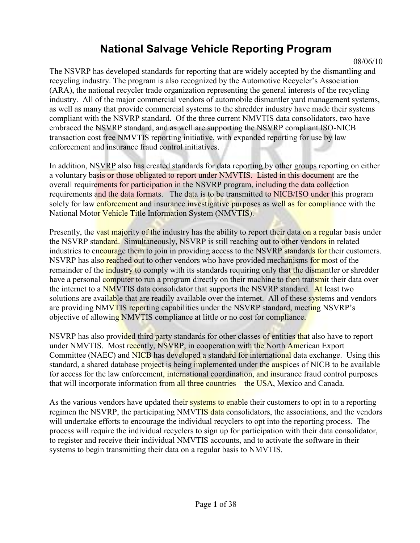## **National Salvage Vehicle Reporting Program**

08/06/10

The NSVRP has developed standards for reporting that are widely accepted by the dismantling and recycling industry. The program is also recognized by the Automotive Recycler"s Association (ARA), the national recycler trade organization representing the general interests of the recycling industry. All of the major commercial vendors of automobile dismantler yard management systems, as well as many that provide commercial systems to the shredder industry have made their systems compliant with the NSVRP standard. Of the three current NMVTIS data consolidators, two have embraced the NSVRP standard, and as well are supporting the NSVRP compliant ISO-NICB transaction cost free NMVTIS reporting initiative, with expanded reporting for use by law enforcement and insurance fraud control initiatives.

In addition, NSVRP also has created standards for data reporting by other groups reporting on either a voluntary basis or those obligated to report under NMVTIS. Listed in this document are the overall requirements for participation in the NSVRP program, including the data collection requirements and the data formats. The data is to be transmitted to NICB/ISO under this program solely for law enforcement and insurance investigative purposes as well as for compliance with the National Motor Vehicle Title Information System (NMVTIS).

Presently, the vast majority of the industry has the ability to report their data on a regular basis under the NSVRP standard. Simultaneously, NSVRP is still reaching out to other vendors in related industries to encourage them to join in providing access to the NSVRP standards for their customers. NSVRP has also reached out to other vendors who have provided mechanisms for most of the remainder of the industry to comply with its standards requiring only that the dismantler or shredder have a personal computer to run a program directly on their machine to then transmit their data over the internet to a NMVTIS data consolidator that supports the NSVRP standard. At least two solutions are available that are readily available over the internet. All of these systems and vendors are providing NMVTIS reporting capabilities under the NSVRP standard, meeting NSVRP"s objective of allowing NMVTIS compliance at little or no cost for compliance.

NSVRP has also provided third party standards for other classes of entities that also have to report under NMVTIS. Most recently, NSVRP, in cooperation with the North American Export Committee (NAEC) and NICB has developed a standard for international data exchange. Using this standard, a shared database project is being implemented under the auspices of NICB to be available for access for the law enforcement, international coordination, and insurance fraud control purposes that will incorporate information from all three countries – the USA, Mexico and Canada.

As the various vendors have updated their systems to enable their customers to opt in to a reporting regimen the NSVRP, the participating NMVTIS data consolidators, the associations, and the vendors will undertake efforts to encourage the individual recyclers to opt into the reporting process. The process will require the individual recyclers to sign up for participation with their data consolidator, to register and receive their individual NMVTIS accounts, and to activate the software in their systems to begin transmitting their data on a regular basis to NMVTIS.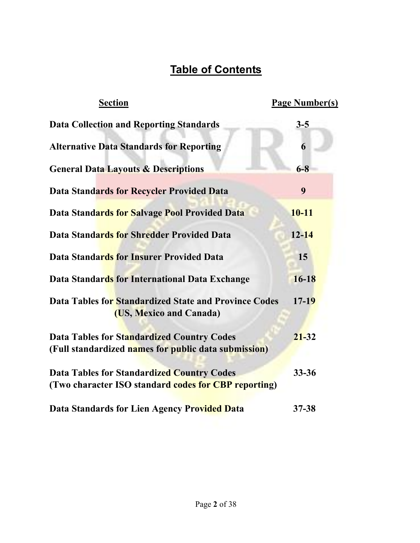## **Table of Contents**

| <b>Section</b>                                                                                            | <b>Page Number(s)</b> |
|-----------------------------------------------------------------------------------------------------------|-----------------------|
| <b>Data Collection and Reporting Standards</b>                                                            | $3 - 5$               |
| <b>Alternative Data Standards for Reporting</b>                                                           | 6                     |
| <b>General Data Layouts &amp; Descriptions</b>                                                            | $6 - 8$               |
| <b>Data Standards for Recycler Provided Data</b>                                                          | 9                     |
| Data Standards for Salvage Pool Provided Data                                                             | $10 - 11$             |
| Data Standards for Shredder Provided Data                                                                 | $12 - 14$             |
| <b>Data Standards for Insurer Provided Data</b>                                                           | 15                    |
| Data Standards for International Data Exchange                                                            | $16 - 18$             |
| Data Tables for Standardized State and Province Codes<br>(US, Mexico and Canada)                          | $17 - 19$             |
| <b>Data Tables for Standardized Country Codes</b><br>(Full standardized names for public data submission) | $21 - 32$             |
| <b>Data Tables for Standardized Country Codes</b><br>(Two character ISO standard codes for CBP reporting) | $33 - 36$             |
| Data Standards for Lien Agency Provided Data                                                              | 37-38                 |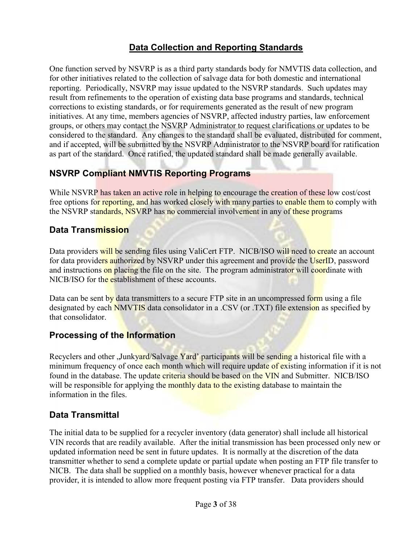## **Data Collection and Reporting Standards**

One function served by NSVRP is as a third party standards body for NMVTIS data collection, and for other initiatives related to the collection of salvage data for both domestic and international reporting. Periodically, NSVRP may issue updated to the NSVRP standards. Such updates may result from refinements to the operation of existing data base programs and standards, technical corrections to existing standards, or for requirements generated as the result of new program initiatives. At any time, members agencies of NSVRP, affected industry parties, law enforcement groups, or others may contact the NSVRP Administrator to request clarifications or updates to be considered to the standard. Any changes to the standard shall be evaluated, distributed for comment, and if accepted, will be submitted by the NSVRP Administrator to the NSVRP board for ratification as part of the standard. Once ratified, the updated standard shall be made generally available.

#### **NSVRP Compliant NMVTIS Reporting Programs**

While NSVRP has taken an active role in helping to encourage the creation of these low cost/cost free options for reporting, and has worked closely with many parties to enable them to comply with the NSVRP standards, NSVRP has no commercial involvement in any of these programs

#### **Data Transmission**

Data providers will be sending files using ValiCert FTP. NICB/ISO will need to create an account for data providers authorized by NSVRP under this agreement and provide the UserID, password and instructions on placing the file on the site. The program administrator will coordinate with NICB/ISO for the establishment of these accounts.

Data can be sent by data transmitters to a secure  $FTP$  site in an uncompressed form using a file designated by each **NMVTIS** data consolidator in a .CSV (or .TXT) file extension as specified by that consolidator.

#### **Processing of the Information**

Recyclers and other "Junkyard/Salvage Yard' participants will be sending a historical file with a minimum frequency of once each month which will require update of existing information if it is not found in the database. The update criteria should be based on the VIN and Submitter. NICB/ISO will be responsible for applying the monthly data to the existing database to maintain the information in the files.

#### **Data Transmittal**

The initial data to be supplied for a recycler inventory (data generator) shall include all historical VIN records that are readily available. After the initial transmission has been processed only new or updated information need be sent in future updates. It is normally at the discretion of the data transmitter whether to send a complete update or partial update when posting an FTP file transfer to NICB. The data shall be supplied on a monthly basis, however whenever practical for a data provider, it is intended to allow more frequent posting via FTP transfer. Data providers should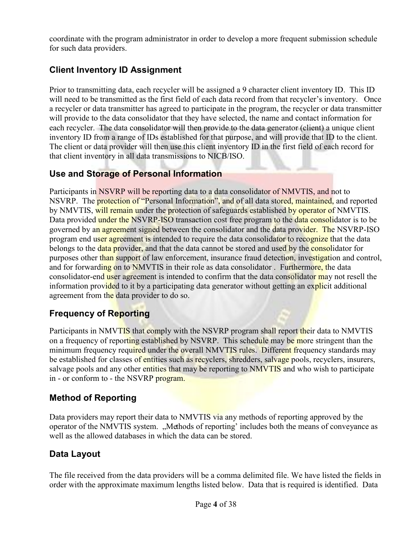coordinate with the program administrator in order to develop a more frequent submission schedule for such data providers.

## **Client Inventory ID Assignment**

Prior to transmitting data, each recycler will be assigned a 9 character client inventory ID. This ID will need to be transmitted as the first field of each data record from that recycler's inventory. Once a recycler or data transmitter has agreed to participate in the program, the recycler or data transmitter will provide to the data consolidator that they have selected, the name and contact information for each recycler. The data consolidator will then provide to the data generator (client) a unique client inventory ID from a range of IDs established for that purpose, and will provide that ID to the client. The client or data provider will then use this client inventory ID in the first field of each record for that client inventory in all data transmissions to NICB/ISO.

### **Use and Storage of Personal Information**

Participants in NSVRP will be reporting data to a data consolidator of NMVTIS, and not to NSVRP. The protection of "Personal Information", and of all data stored, maintained, and reported by NMVTIS, will remain under the protection of safeguards established by operator of NMVTIS. Data provided under the NSVRP-ISO transaction cost free program to the data consolidator is to be governed by an agreement signed between the consolidator and the data provider. The NSVRP-ISO program end user agreement is intended to require the data consolidator to recognize that the data belongs to the **data provider**, and that the data cannot be stored and used by the **consolidator** for purposes other than support of law enforcement, insurance fraud detection, investigation and control, and for forwarding on to NMVTIS in their role as data consolidator. Furthermore, the data consolidator-end user agreement is intended to confirm that the data consolidator may not resell the information provided to it by a participating data generator without getting an explicit additional agreement from the data provider to do so.

## **Frequency of Reporting**

Participants in NMVTIS that comply with the NSVRP program shall report their data to NMVTIS on a frequency of reporting established by NSVRP. This schedule may be more stringent than the minimum frequency required under the overall NMVTIS rules. Different frequency standards may be established for classes of entities such as recyclers, shredders, salvage pools, recyclers, insurers, salvage pools and any other entities that may be reporting to NMVTIS and who wish to participate in - or conform to - the NSVRP program.

### **Method of Reporting**

Data providers may report their data to NMVTIS via any methods of reporting approved by the operator of the NMVTIS system. "Methods of reporting' includes both the means of conveyance as well as the allowed databases in which the data can be stored.

## **Data Layout**

The file received from the data providers will be a comma delimited file. We have listed the fields in order with the approximate maximum lengths listed below. Data that is required is identified. Data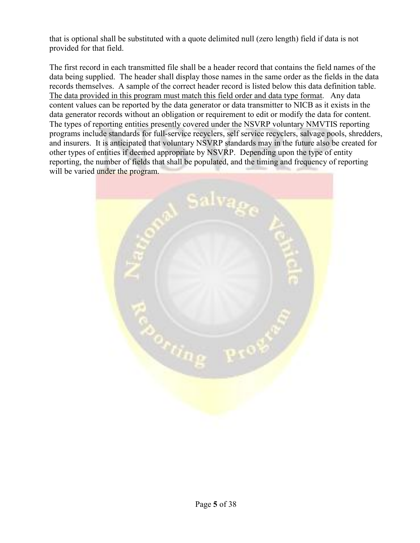that is optional shall be substituted with a quote delimited null (zero length) field if data is not provided for that field.

The first record in each transmitted file shall be a header record that contains the field names of the data being supplied. The header shall display those names in the same order as the fields in the data records themselves. A sample of the correct header record is listed below this data definition table. The data provided in this program must match this field order and data type format. Any data content values can be reported by the data generator or data transmitter to NICB as it exists in the data generator records without an obligation or requirement to edit or modify the data for content. The types of reporting entities presently covered under the NSVRP voluntary NMVTIS reporting programs include standards for full-service recyclers, self service recyclers, salvage pools, shredders, and insurers. It is anticipated that voluntary NSVRP standards may in the future also be created for other types of entities if deemed appropriate by NSVRP. Depending upon the type of entity reporting, the number of fields that shall be populated, and the timing and frequency of reporting will be varied under the program.

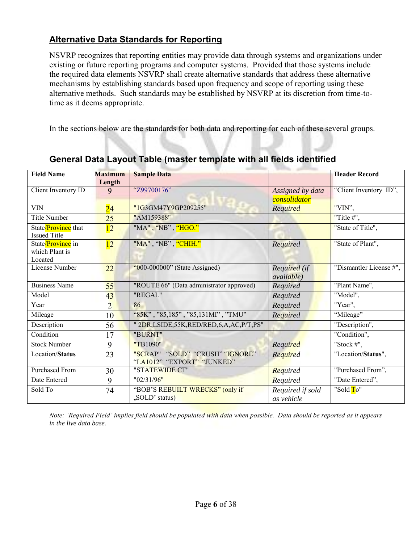### **Alternative Data Standards for Reporting**

NSVRP recognizes that reporting entities may provide data through systems and organizations under existing or future reporting programs and computer systems. Provided that those systems include the required data elements NSVRP shall create alternative standards that address these alternative mechanisms by establishing standards based upon frequency and scope of reporting using these alternative methods. Such standards may be established by NSVRP at its discretion from time-totime as it deems appropriate.

In the sections below are the standards for both data and reporting for each of these several groups.

| <b>Field Name</b>                              | <b>Maximum</b>  | <b>Sample Data</b>                                            |                                  | <b>Header Record</b>    |
|------------------------------------------------|-----------------|---------------------------------------------------------------|----------------------------------|-------------------------|
|                                                | Length          |                                                               |                                  |                         |
| Client Inventory ID                            | 9               | "Z99700176"                                                   | Assigned by data<br>consolidator | "Client Inventory ID",  |
| VIN                                            | $\overline{24}$ | "1G3GM47Y9GP209255"                                           | Required                         | "VIN",                  |
| <b>Title Number</b>                            | 25              | "AM159388"                                                    |                                  | "Title $#$ ",           |
| State/Province that<br><b>Issued Title</b>     | 12              | "MA" , "NB" , "HGO."                                          |                                  | "State of Title",       |
| State/Province in<br>which Plant is<br>Located | 12              | "MA", "NB", "CHIH."                                           | Required                         | "State of Plant",       |
| License Number                                 | 22              | " $000-000000$ " (State Assigned)                             | Required (if<br>available)       | "Dismantler License #", |
| <b>Business Name</b>                           | 55              | "ROUTE 66" (Data administrator approved)                      | Required                         | "Plant Name",           |
| Model                                          | 43              | "REGAL"                                                       | Required                         | "Model",                |
| Year                                           | $\overline{2}$  | 86                                                            | Required                         | "Year",                 |
| Mileage                                        | 10              | "85K", "85,185", "85,131MI", "TMU"                            | Required                         | "Mileage"               |
| Description                                    | 56              | " 2DR,LSIDE,55K,RED/RED,6,A,AC,P/T,PS"                        |                                  | "Description",          |
| Condition                                      | 17              | "BURNT"                                                       |                                  | "Condition",            |
| <b>Stock Number</b>                            | 9               | "TB1090"                                                      | Required                         | "Stock $#$ ",           |
| Location/Status                                | 23              | "SCRAP" "SOLD" "CRUSH" "IGNORE"<br>"LA1012" "EXPORT" "JUNKED" | Required                         | "Location/Status",      |
| <b>Purchased From</b>                          | 30              | "STATEWIDE CT"                                                | Required                         | "Purchased From",       |
| Date Entered                                   | 9               | "02/31/96"                                                    | Required                         | "Date Entered",         |
| Sold To                                        | 74              | "BOB'S REBUILT WRECKS" (only if<br>"SOLD' status)             | Required if sold<br>as vehicle   | "Sold To"               |

## **General Data Layout Table (master template with all fields identified**

*Note: 'Required Field' implies field should be populated with data when possible. Data should be reported as it appears in the live data base.*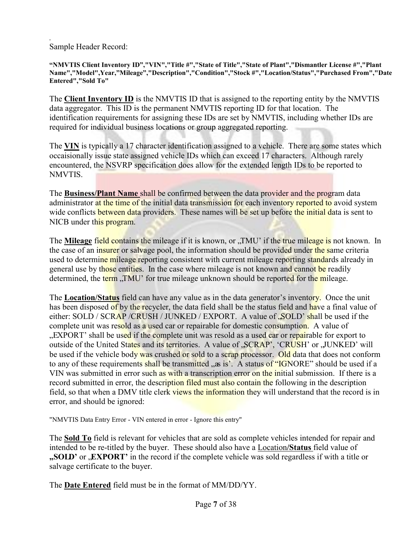*.*  Sample Header Record:

**"NMVTIS Client Inventory ID","VIN","Title #","State of Title","State of Plant","Dismantler License #","Plant Name","Model",Year,"Mileage","Description","Condition","Stock #","Location/Status","Purchased From","Date Entered","Sold To"**

The **Client Inventory ID** is the NMVTIS ID that is assigned to the reporting entity by the NMVTIS data aggregator. This ID is the permanent NMVTIS reporting ID for that location. The identification requirements for assigning these IDs are set by NMVTIS, including whether IDs are required for individual business locations or group aggregated reporting.

The **VIN** is typically a 17 character identification assigned to a vehicle. There are some states which occaisionally issue state assigned vehicle IDs which can exceed 17 characters. Although rarely encountered, the NSVRP specification does allow for the extended length IDs to be reported to NMVTIS.

The **Business/Plant Name** shall be confirmed between the data provider and the program data administrator at the time of the initial data transmission for each inventory reported to avoid system wide conflicts between data providers. These names will be set up before the initial data is sent to NICB under this program.

The **Mileage** field contains the mileage if it is known, or "TMU" if the true mileage is not known. In the case of an insurer or salvage pool, the information should be provided under the same criteria used to determine mileage reporting consistent with current mileage reporting standards already in general use by those entities. In the case where mileage is not known and cannot be readily determined, the term "TMU" for true mileage unknown should be reported for the mileage.

The **Location/Status** field can have any value as in the data generator's inventory. Once the unit has been disposed of by the recycler, the data field shall be the status field and have a final value of either: SOLD / SCRAP /CRUSH / JUNKED / EXPORT. A value of , SOLD' shall be used if the complete unit was resold as a used car or repairable for domestic consumption. A value of "EXPORT' shall be used if the complete unit was resold as a used car or repairable for export to outside of the United States and its territories. A value of "SCRAP', 'CRUSH' or "JUNKED' will be used if the vehicle body was crushed or sold to a scrap processor. Old data that does not conform to any of these requirements shall be transmitted "as is". A status of "IGNORE" should be used if a VIN was submitted in error such as with a transcription error on the initial submission. If there is a record submitted in error, the description filed must also contain the following in the description field, so that when a DMV title clerk views the information they will understand that the record is in error, and should be ignored:

"NMVTIS Data Entry Error - VIN entered in error - Ignore this entry"

The **Sold To** field is relevant for vehicles that are sold as complete vehicles intended for repair and intended to be re-titled by the buyer. These should also have a Location**/Status** field value of **"SOLD'** or **EXPORT'** in the record if the complete vehicle was sold regardless if with a title or salvage certificate to the buyer.

The **Date Entered** field must be in the format of MM/DD/YY.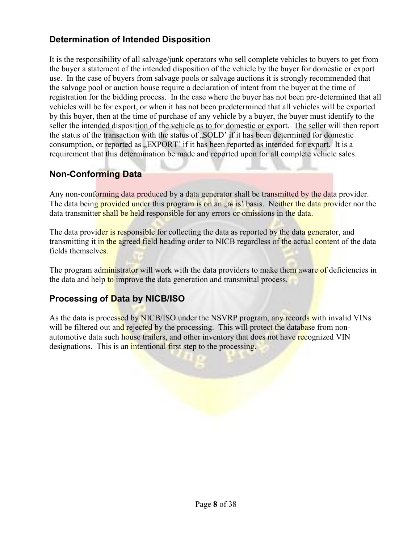### **Determination of Intended Disposition**

It is the responsibility of all salvage/junk operators who sell complete vehicles to buyers to get from the buyer a statement of the intended disposition of the vehicle by the buyer for domestic or export use. In the case of buyers from salvage pools or salvage auctions it is strongly recommended that the salvage pool or auction house require a declaration of intent from the buyer at the time of registration for the bidding process. In the case where the buyer has not been pre-determined that all vehicles will be for export, or when it has not been predetermined that all vehicles will be exported by this buyer, then at the time of purchase of any vehicle by a buyer, the buyer must identify to the seller the intended disposition of the vehicle as to for domestic or export. The seller will then report the status of the transaction with the status of  $SOLD'$  if it has been determined for domestic consumption, or reported as "EXPORT' if it has been reported as intended for export. It is a requirement that this determination be made and reported upon for all complete vehicle sales.

#### **Non-Conforming Data**

Any non-conforming data produced by a data generator shall be transmitted by the data provider. The data being provided under this program is on an "as is' basis. Neither the data provider nor the data transmitter shall be held responsible for any errors or omissions in the data.

The data provider is responsible for collecting the data as reported by the data generator, and transmitting it in the agreed field heading order to NICB regardless of the actual content of the data fields themselves.

The program administrator will work with the data providers to make them aware of deficiencies in the data and help to improve the data generation and transmittal process.

### **Processing of Data by NICB/ISO**

As the data is processed by NICB/ISO under the NSVRP program, any records with invalid VINs will be filtered out and rejected by the processing. This will protect the database from nonautomotive data such house trailers, and other inventory that does not have recognized VIN designations. This is an intentional first step to the processing.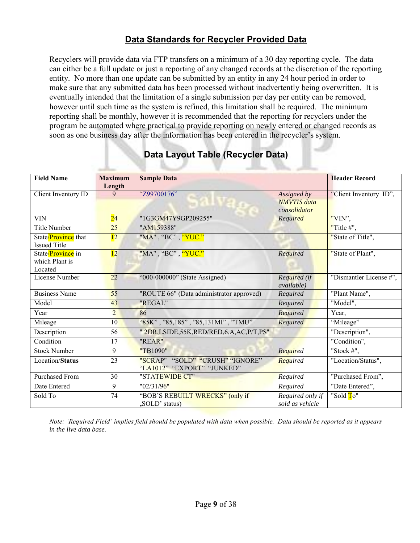### **Data Standards for Recycler Provided Data**

Recyclers will provide data via FTP transfers on a minimum of a 30 day reporting cycle. The data can either be a full update or just a reporting of any changed records at the discretion of the reporting entity. No more than one update can be submitted by an entity in any 24 hour period in order to make sure that any submitted data has been processed without inadvertently being overwritten. It is eventually intended that the limitation of a single submission per day per entity can be removed, however until such time as the system is refined, this limitation shall be required. The minimum reporting shall be monthly, however it is recommended that the reporting for recyclers under the program be automated where practical to provide reporting on newly entered or changed records as soon as one business day after the information has been entered in the recycler's system.

| <b>Field Name</b>     | <b>Maximum</b> | <b>Sample Data</b>                       |                    | <b>Header Record</b>    |
|-----------------------|----------------|------------------------------------------|--------------------|-------------------------|
|                       | Length         |                                          |                    |                         |
| Client Inventory ID   | 9              | "Z99700176"                              | Assigned by        | "Client Inventory ID",  |
|                       |                |                                          | <b>NMVTIS</b> data |                         |
|                       |                |                                          | consolidator       |                         |
| <b>VIN</b>            | 24             | "1G3GM47Y9GP209255"                      | Required           | "VIN",                  |
| <b>Title Number</b>   | 25             | "AM159388"                               |                    | "Title $#$ ",           |
| State/Province that   | 12             | "MA", "BC", "YUC."                       |                    | "State of Title",       |
| <b>Issued Title</b>   |                |                                          |                    |                         |
| State/Province in     | 12             | "MA", "BC", "YUC."                       | Required           | "State of Plant",       |
| which Plant is        |                |                                          |                    |                         |
| Located               |                |                                          |                    |                         |
| License Number        | 22             | "000-000000" (State Assigned)            | Required (if       | "Dismantler License #", |
|                       |                |                                          | <i>available</i> ) |                         |
| <b>Business Name</b>  | 55             | "ROUTE 66" (Data administrator approved) | Required           | "Plant Name",           |
| Model                 | 43             | "REGAL"                                  | Required           | "Model",                |
| Year                  | $\overline{2}$ | 86                                       | Required           | Year,                   |
| Mileage               | 10             | "85K", "85,185", "85,131MI", "TMU"       | Required           | "Mileage"               |
| Description           | 56             | " 2DR,LSIDE,55K,RED/RED,6,A,AC,P/T,PS"   |                    | "Description",          |
| Condition             | 17             | "REAR"                                   |                    | "Condition",            |
| <b>Stock Number</b>   | 9              | "TB1090"                                 | Required           | "Stock $#$ ",           |
| Location/Status       | 23             | "SCRAP" "SOLD" "CRUSH" "IGNORE"          | Required           | "Location/Status",      |
|                       |                | "LA1012" "EXPORT" "JUNKED"               |                    |                         |
| <b>Purchased From</b> | 30             | "STATEWIDE CT"                           | Required           | "Purchased From",       |
| Date Entered          | 9              | "02/31/96"                               | Required           | "Date Entered",         |
| Sold To               | 74             | "BOB'S REBUILT WRECKS" (only if          | Required only if   | "Sold To"               |
|                       |                | "SOLD' status)                           | sold as vehicle    |                         |

## **Data Layout Table (Recycler Data)**

*Note: 'Required Field' implies field should be populated with data when possible. Data should be reported as it appears in the live data base.*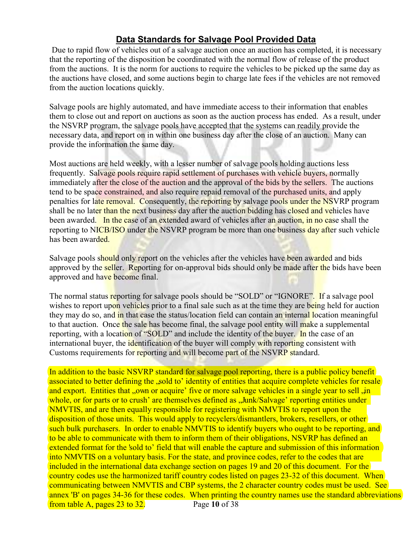### **Data Standards for Salvage Pool Provided Data**

Due to rapid flow of vehicles out of a salvage auction once an auction has completed, it is necessary that the reporting of the disposition be coordinated with the normal flow of release of the product from the auctions. It is the norm for auctions to require the vehicles to be picked up the same day as the auctions have closed, and some auctions begin to charge late fees if the vehicles are not removed from the auction locations quickly.

Salvage pools are highly automated, and have immediate access to their information that enables them to close out and report on auctions as soon as the auction process has ended. As a result, under the NSVRP program, the salvage pools have accepted that the systems can readily provide the necessary data, and report on in within one business day after the close of an auction. Many can provide the information the same day.

Most auctions are held weekly, with a lesser number of salvage pools holding auctions less frequently. Salvage pools require rapid settlement of purchases with vehicle buyers, normally immediately after the close of the auction and the approval of the bids by the sellers. The auctions tend to be space constrained, and also require repaid removal of the purchased units, and apply penalties for late removal. Consequently, the reporting by salvage pools under the NSVRP program shall be no later than the next business day after the auction bidding has closed and vehicles have been awarded. In the case of an extended award of vehicles after an auction, in no case shall the reporting to NICB/ISO under the NSVRP program be more than one business day after such vehicle has been awarded.

Salvage pools should only report on the vehicles after the vehicles have been awarded and bids approved by the seller. Reporting for on-approval bids should only be made after the bids have been approved and have become final.

The normal status reporting for salvage pools should be "SOLD" or "IGNORE". If a salvage pool wishes to report upon vehicles prior to a final sale such as at the time they are being held for auction they may do so, and in that case the status/location field can contain an internal location meaningful to that auction. Once the sale has become final, the salvage pool entity will make a supplemental reporting, with a location of "SOLD" and include the identity of the buyer. In the case of an international buyer, the identification of the buyer will comply with reporting consistent with Customs requirements for reporting and will become part of the NSVRP standard.

Page **10** of 38 In addition to the basic NSVRP standard for salvage pool reporting, there is a public policy benefit associated to better defining the , sold to' identity of entities that acquire complete vehicles for resale and export. Entities that "own or acquire' five or more salvage vehicles in a single year to sell , in whole, or for parts or to crush' are themselves defined as ... Junk/Salvage' reporting entities under NMVTIS, and are then equally responsible for registering with NMVTIS to report upon the disposition of those units. This would apply to recyclers/dismantlers, brokers, resellers, or other such bulk purchasers. In order to enable NMVTIS to identify buyers who ought to be reporting, and to be able to communicate with them to inform them of their obligations, NSVRP has defined an extended format for the 'sold to' field that will enable the capture and submission of this information into NMVTIS on a voluntary basis. For the state, and province codes, refer to the codes that are included in the international data exchange section on pages 19 and 20 of this document. For the country codes use the harmonized tariff country codes listed on pages 23-32 of this document. When communicating between NMVTIS and CBP systems, the 2 character country codes must be used. See annex 'B' on pages 34-36 for these codes. When printing the country names use the standard abbreviations from table A, pages 23 to 32.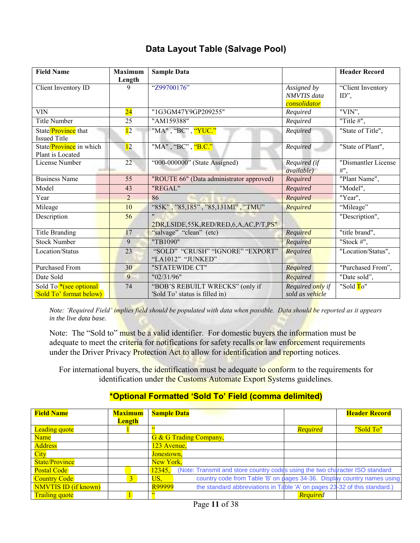### **Data Layout Table (Salvage Pool)**

| <b>Field Name</b>                                              | <b>Maximum</b><br>Length | <b>Sample Data</b>                                                |                                                   | <b>Header Record</b>          |
|----------------------------------------------------------------|--------------------------|-------------------------------------------------------------------|---------------------------------------------------|-------------------------------|
| Client Inventory ID                                            | 9                        | "Z99700176"                                                       | Assigned by<br><b>NMVTIS</b> data<br>consolidator | "Client Inventory<br>$ID$ ",  |
| <b>VIN</b>                                                     | $\overline{24}$          | "1G3GM47Y9GP209255"                                               | Required                                          | "VIN",                        |
| Title Number                                                   | 25                       | "AM159388"                                                        | Required                                          | "Title $#$ ",                 |
| State/Province that<br><b>Issued Title</b>                     | 12                       | "MA" , "BC" , <mark>"YUC."</mark>                                 | Required                                          | "State of Title",             |
| State/ <i>Province</i> in which<br>Plant is Located            | 12                       | "MA", "BC", "B.C."                                                | Required                                          | "State of Plant",             |
| License Number                                                 | 22                       | "000-000000" (State Assigned)                                     | Required (if<br><i>available</i> )                | "Dismantler License<br>$#$ ", |
| <b>Business Name</b>                                           | 55                       | "ROUTE 66" (Data administrator approved)                          | Required                                          | "Plant Name",                 |
| Model                                                          | 43                       | "REGAL"                                                           | Required                                          | "Model",                      |
| Year                                                           | $\overline{2}$           | 86                                                                | Required                                          | "Year",                       |
| Mileage                                                        | 10                       | "85K", "85,185", "85,131MI", "TMU"                                | Required                                          | "Mileage"                     |
| Description                                                    | 56                       | $^{\prime\prime}$<br>2DR,LSIDE,55K,RED/RED,6,A,AC,P/T,PS"         |                                                   | "Description",                |
| <b>Title Branding</b>                                          | 17                       | "salvage" "clean" (etc)                                           | Required                                          | "title brand",                |
| <b>Stock Number</b>                                            | 9                        | "TB1090"                                                          | Required                                          | "Stock $#$ ",                 |
| Location/Status                                                | 23                       | "SOLD" "CRUSH" "IGNORE" "EXPORT"<br>"LA1012" "JUNKED"             | Required                                          | "Location/Status",            |
| <b>Purchased From</b>                                          | 30                       | "STATEWIDE CT"                                                    | Required                                          | "Purchased From",             |
| Date Sold                                                      | 9                        | "02/31/96"                                                        | Required                                          | "Date sold",                  |
| Sold To <sup>*</sup> (see optional)<br>'Sold To' format below) | 74                       | "BOB'S REBUILT WRECKS" (only if<br>'Sold To' status is filled in) | Required only if<br>sold as vehicle               | "Sold To"                     |

*Note: 'Required Field' implies field should be populated with data when possible. Data should be reported as it appears in the live data base.* 

Note: The "Sold to" must be a valid identifier. For domestic buyers the information must be adequate to meet the criteria for notifications for safety recalls or law enforcement requirements under the Driver Privacy Protection Act to allow for identification and reporting notices.

For international buyers, the identification must be adequate to conform to the requirements for identification under the Customs Automate Export Systems guidelines.

#### **\*Optional Formatted 'Sold To' Field (comma delimited)**

| <b>Field Name</b>           | <b>Maximum</b> | <b>Sample Data</b>                                                                     | <b>Header Record</b> |
|-----------------------------|----------------|----------------------------------------------------------------------------------------|----------------------|
|                             | <b>Length</b>  |                                                                                        |                      |
| <b>Leading quote</b>        |                | <b>Required</b>                                                                        | "Sold To"            |
| <b>Name</b>                 |                | G & G Trading Company,                                                                 |                      |
| <b>Address</b>              |                | 123 Avenue,                                                                            |                      |
| City                        |                | Jonestown,                                                                             |                      |
| <b>State/Province</b>       |                | New York,                                                                              |                      |
| <b>Postal Code</b>          |                | (Note: Transmit and store country codes using the two character ISO standard<br>12345. |                      |
| <b>Country Code</b>         | $\overline{3}$ | country code from Table 'B' on pages 34-36. Display country names using<br>US.         |                      |
| <b>NMVTIS ID (if known)</b> |                | R99999<br>the standard abbreviations in Table 'A' on pages 23-32 of this standard.)    |                      |
| <b>Trailing quote</b>       |                | Required                                                                               |                      |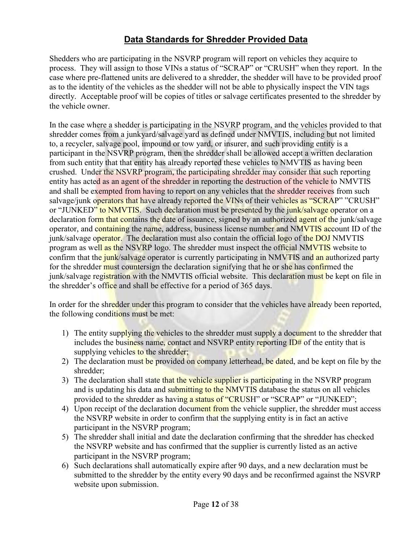## **Data Standards for Shredder Provided Data**

Shedders who are participating in the NSVRP program will report on vehicles they acquire to process. They will assign to those VINs a status of "SCRAP" or "CRUSH" when they report. In the case where pre-flattened units are delivered to a shredder, the shedder will have to be provided proof as to the identity of the vehicles as the shedder will not be able to physically inspect the VIN tags directly. Acceptable proof will be copies of titles or salvage certificates presented to the shredder by the vehicle owner.

In the case where a shedder is participating in the NSVRP program, and the vehicles provided to that shredder comes from a junkyard/salvage yard as defined under NMVTIS, including but not limited to, a recycler, salvage pool, impound or tow yard, or insurer, and such providing entity is a participant in the NSVRP program, then the shredder shall be allowed accept a written declaration from such entity that that entity has already reported these vehicles to NMVTIS as having been crushed. Under the NSVRP program, the participating shredder may consider that such reporting entity has acted as an agent of the shredder in reporting the destruction of the vehicle to NMVTIS and shall be exempted from having to report on any vehicles that the shredder receives from such salvage/junk operators that have already reported the VINs of their vehicles as "SCRAP" "CRUSH" or "JUNKED" to NMVTIS. Such declaration must be presented by the junk/salvage operator on a declaration form that contains the date of issuance, signed by an authorized agent of the junk/salvage operator, and containing the name, address, business license number and NMVTIS account ID of the junk/salvage operator. The declaration must also contain the official logo of the DOJ NMVTIS program as well as the NSVRP logo. The shredder must inspect the official NMVTIS website to confirm that the junk/salvage operator is currently participating in NMVTIS and an authorized party for the shredder must countersign the declaration signifying that he or she has confirmed the junk/salvage registration with the NMVTIS official website. This declaration must be kept on file in the shredder's office and shall be effective for a period of 365 days.

In order for the shredder under this program to consider that the vehicles have already been reported, the following conditions must be met:

- 1) The entity supplying the vehicles to the shredder must supply a document to the shredder that includes the business name, contact and NSVRP entity reporting  $ID#$  of the entity that is supplying vehicles to the shredder;
- 2) The declaration must be provided on company letterhead, be dated, and be kept on file by the shredder;
- 3) The declaration shall state that the vehicle supplier is participating in the NSVRP program and is updating his data and submitting to the NMVTIS database the status on all vehicles provided to the shredder as having a status of "CRUSH" or "SCRAP" or "JUNKED";
- 4) Upon receipt of the declaration document from the vehicle supplier, the shredder must access the NSVRP website in order to confirm that the supplying entity is in fact an active participant in the NSVRP program;
- 5) The shredder shall initial and date the declaration confirming that the shredder has checked the NSVRP website and has confirmed that the supplier is currently listed as an active participant in the NSVRP program;
- 6) Such declarations shall automatically expire after 90 days, and a new declaration must be submitted to the shredder by the entity every 90 days and be reconfirmed against the NSVRP website upon submission.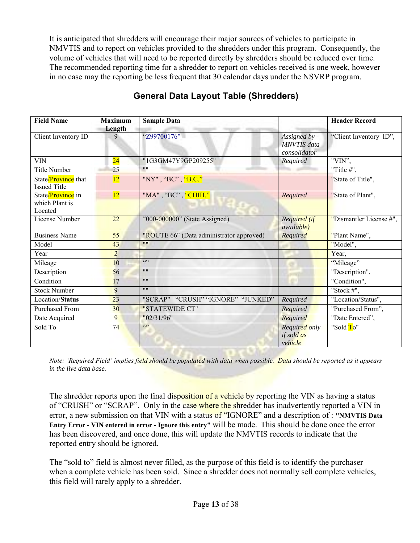It is anticipated that shredders will encourage their major sources of vehicles to participate in NMVTIS and to report on vehicles provided to the shredders under this program. Consequently, the volume of vehicles that will need to be reported directly by shredders should be reduced over time. The recommended reporting time for a shredder to report on vehicles received is one week, however in no case may the reporting be less frequent that 30 calendar days under the NSVRP program.

| <b>Field Name</b>                          | <b>Maximum</b>  | <b>Sample Data</b>                       |                                                   | <b>Header Record</b>    |
|--------------------------------------------|-----------------|------------------------------------------|---------------------------------------------------|-------------------------|
|                                            | Length          |                                          |                                                   |                         |
| Client Inventory ID                        | 9               | "Z99700176"                              | Assigned by<br><b>MNVTIS</b> data<br>consolidator | "Client Inventory ID",  |
| <b>VIN</b>                                 | $\overline{24}$ | "1G3GM47Y9GP209255"                      | Required                                          | "VIN",                  |
| <b>Title Number</b>                        | $\overline{25}$ | 1111                                     |                                                   | "Title $#$ ",           |
| State/Province that<br><b>Issued Title</b> | 12              | "NY", "BC", "B.C."                       |                                                   | "State of Title",       |
| State/Province in                          | 12              | "MA", "BC", "CHIH."                      | Required                                          | "State of Plant",       |
| which Plant is<br>Located                  |                 |                                          |                                                   |                         |
| License Number                             | 22              | "000-000000" (State Assigned)            | Required (if<br><i>available</i> )                | "Dismantler License #", |
| <b>Business Name</b>                       | 55              | "ROUTE 66" (Data administrator approved) | Required                                          | "Plant Name",           |
| Model                                      | 43              | 1111                                     |                                                   | "Model",                |
| Year                                       | $\overline{2}$  |                                          |                                                   | Year,                   |
| Mileage                                    | 10              | (0)                                      |                                                   | "Mileage"               |
| Description                                | 56              | 1111                                     |                                                   | "Description",          |
| Condition                                  | 17              | 1111                                     |                                                   | "Condition",            |
| <b>Stock Number</b>                        | 9               | 1111                                     |                                                   | "Stock $#$ ",           |
| Location/Status                            | 23              | "SCRAP" "CRUSH" "IGNORE" "JUNKED"        | Required                                          | "Location/Status",      |
| Purchased From                             | 30              | "STATEWIDE CT"                           | Required                                          | "Purchased From",       |
| Date Acquired                              | 9               | "02/31/96"                               | Required                                          | "Date Entered",         |
| Sold To                                    | 74              | (0)                                      | <b>Required only</b>                              | "Sold To"               |
|                                            |                 |                                          | if sold as                                        |                         |
|                                            |                 |                                          | vehicle                                           |                         |

## **General Data Layout Table (Shredders)**

*Note: 'Required Field' implies field should be populated with data when possible. Data should be reported as it appears in the live data base.* 

The shredder reports upon the final disposition of a vehicle by reporting the VIN as having a status of "CRUSH" or "SCRAP". Only in the case where the shredder has inadvertently reported a VIN in error, a new submission on that VIN with a status of "IGNORE" and a description of : **"NMVTIS Data Entry Error - VIN entered in error - Ignore this entry"** will be made. This should be done once the error has been discovered, and once done, this will update the NMVTIS records to indicate that the reported entry should be ignored.

The "sold to" field is almost never filled, as the purpose of this field is to identify the purchaser when a complete vehicle has been sold. Since a shredder does not normally sell complete vehicles, this field will rarely apply to a shredder.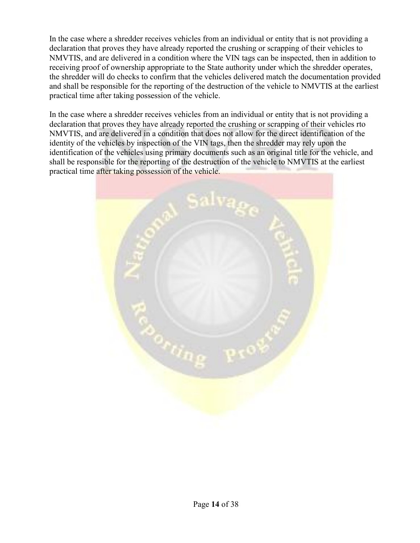In the case where a shredder receives vehicles from an individual or entity that is not providing a declaration that proves they have already reported the crushing or scrapping of their vehicles to NMVTIS, and are delivered in a condition where the VIN tags can be inspected, then in addition to receiving proof of ownership appropriate to the State authority under which the shredder operates, the shredder will do checks to confirm that the vehicles delivered match the documentation provided and shall be responsible for the reporting of the destruction of the vehicle to NMVTIS at the earliest practical time after taking possession of the vehicle.

In the case where a shredder receives vehicles from an individual or entity that is not providing a declaration that proves they have already reported the crushing or scrapping of their vehicles rto NMVTIS, and are delivered in a condition that does not allow for the direct identification of the identity of the vehicles by inspection of the VIN tags, then the shredder may rely upon the identification of the vehicles using primary documents such as an original title for the vehicle, and shall be responsible for the reporting of the destruction of the vehicle to NMVTIS at the earliest practical time after taking possession of the vehicle.

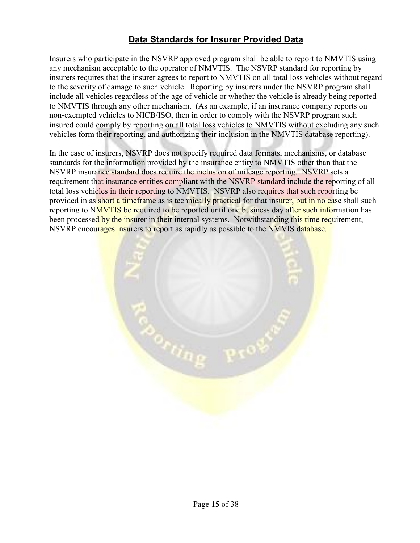### **Data Standards for Insurer Provided Data**

Insurers who participate in the NSVRP approved program shall be able to report to NMVTIS using any mechanism acceptable to the operator of NMVTIS. The NSVRP standard for reporting by insurers requires that the insurer agrees to report to NMVTIS on all total loss vehicles without regard to the severity of damage to such vehicle. Reporting by insurers under the NSVRP program shall include all vehicles regardless of the age of vehicle or whether the vehicle is already being reported to NMVTIS through any other mechanism. (As an example, if an insurance company reports on non-exempted vehicles to NICB/ISO, then in order to comply with the NSVRP program such insured could comply by reporting on all total loss vehicles to NMVTIS without excluding any such vehicles form their reporting, and authorizing their inclusion in the NMVTIS database reporting).

In the case of insurers, NSVRP does not specify required data formats, mechanisms, or database standards for the information provided by the insurance entity to NMVTIS other than that the NSVRP insurance standard does require the inclusion of mileage reporting. NSVRP sets a requirement that insurance entities compliant with the NSVRP standard include the reporting of all total loss vehicles in their reporting to NMVTIS. NSVRP also requires that such reporting be provided in as short a timeframe as is technically practical for that insurer, but in no case shall such reporting to NMVTIS be required to be reported until one business day after such information has been processed by the insurer in their internal systems. Notwithstanding this time requirement, NSVRP encourages insurers to report as rapidly as possible to the NMVIS database.

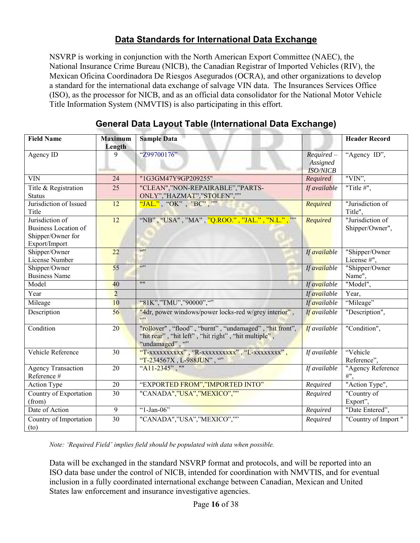### **Data Standards for International Data Exchange**

NSVRP is working in conjunction with the North American Export Committee (NAEC), the National Insurance Crime Bureau (NICB), the Canadian Registrar of Imported Vehicles (RIV), the Mexican Oficina Coordinadora De Riesgos Asegurados (OCRA), and other organizations to develop a standard for the international data exchange of salvage VIN data. The Insurances Services Office (ISO), as the processor for NICB, and as an official data consolidator for the National Motor Vehicle Title Information System (NMVTIS) is also participating in this effort.

| <b>Field Name</b>                                                                    | <b>Maximum</b><br>Length | <b>Sample Data</b>                                                                                                              |                                             | <b>Header Record</b>                |
|--------------------------------------------------------------------------------------|--------------------------|---------------------------------------------------------------------------------------------------------------------------------|---------------------------------------------|-------------------------------------|
| Agency ID                                                                            | 9                        | "Z99700176"                                                                                                                     | $Required -$<br>Assigned<br><b>ISO/NICB</b> | "Agency ID",                        |
| <b>VIN</b>                                                                           | 24                       | "1G3GM47Y9GP209255"                                                                                                             | Required                                    | "VIN",                              |
| Title & Registration<br><b>Status</b>                                                | 25                       | "CLEAN","NON-REPAIRABLE","PARTS-<br>ONLY","HAZMAT","STOLEN",""                                                                  | If available                                | "Title $#$ ",                       |
| Jurisdiction of Issued<br>Title                                                      | $\overline{12}$          | "JAL.", "OK", "BC", ""                                                                                                          | Required                                    | "Jurisdiction of<br>Title",         |
| Jurisdiction of<br><b>Business Location of</b><br>Shipper/Owner for<br>Export/Import | 12                       | "NB", "USA", "MA", "Q.ROO.", "JAL.", "N.L.", ""                                                                                 | Required                                    | "Jurisdiction of<br>Shipper/Owner", |
| Shipper/Owner<br>License Number                                                      | 22                       | (5)                                                                                                                             | If available                                | "Shipper/Owner<br>License #",       |
| Shipper/Owner<br><b>Business Name</b>                                                | 55                       | 6522                                                                                                                            | If available                                | "Shipper/Owner<br>Name",            |
| Model                                                                                | 40                       | $\overline{\mathbf{111}}$                                                                                                       | If available                                | "Model",                            |
| Year                                                                                 | $\overline{2}$           |                                                                                                                                 | If available                                | Year,                               |
| Mileage                                                                              | 10                       | "81K","TMU","90000",""                                                                                                          | If available                                | "Mileage"                           |
| Description                                                                          | 56                       | "4dr, power windows/power locks-red w/grey interior",                                                                           | If available                                | "Description",                      |
| Condition                                                                            | 20                       | "rollover", "flood", "burnt", "undamaged", "hit front",<br>"hit rear", "hit left", "hit right", "hit multiple",<br>"undamaged", | <b>If</b> available                         | "Condition",                        |
| Vehicle Reference                                                                    | 30                       | "T-xxxxxxxxx", "R-xxxxxxxxxx", "L-xxxxxxxx",<br>"T-234567X, L-988JUN", ""                                                       | If available                                | "Vehicle<br>Reference",             |
| <b>Agency Transaction</b><br>Reference #                                             | 20                       | "A11-2345", ""                                                                                                                  | If available                                | "Agency Reference<br>#",            |
| Action Type                                                                          | 20                       | "EXPORTED FROM","IMPORTED INTO"                                                                                                 | Required                                    | "Action Type",                      |
| Country of Exportation<br>(from)                                                     | $\overline{30}$          | "CANADA","USA","MEXICO",""                                                                                                      | Required                                    | "Country of<br>Export",             |
| Date of Action                                                                       | $\overline{9}$           | " $1$ -Jan-06"                                                                                                                  | Required                                    | "Date Entered",                     |
| Country of Importation<br>(to)                                                       | $\overline{30}$          | "CANADA","USA","MEXICO",""                                                                                                      | Required                                    | "Country of Import"                 |

#### **General Data Layout Table (International Data Exchange)**

*Note: 'Required Field' implies field should be populated with data when possible.* 

Data will be exchanged in the standard NSVRP format and protocols, and will be reported into an ISO data base under the control of NICB, intended for coordination with NMVTIS, and for eventual inclusion in a fully coordinated international exchange between Canadian, Mexican and United States law enforcement and insurance investigative agencies.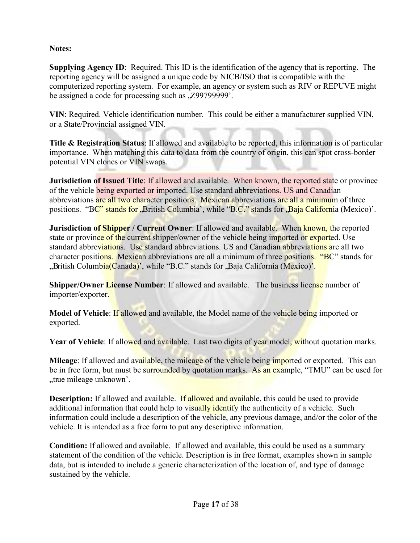#### **Notes:**

**Supplying Agency ID**: Required. This ID is the identification of the agency that is reporting. The reporting agency will be assigned a unique code by NICB/ISO that is compatible with the computerized reporting system. For example, an agency or system such as RIV or REPUVE might be assigned a code for processing such as , Z997999999'.

**VIN**: Required. Vehicle identification number. This could be either a manufacturer supplied VIN, or a State/Provincial assigned VIN.

**Title & Registration Status**: If allowed and available to be reported, this information is of particular importance. When matching this data to data from the country of origin, this can spot cross-border potential VIN clones or VIN swaps.

**Jurisdiction of Issued Title**: If allowed and available. When known, the reported state or province of the vehicle being exported or imported. Use standard abbreviations. US and Canadian abbreviations are all two character positions. Mexican abbreviations are all a minimum of three positions. "BC" stands for "British Columbia", while "B.C." stands for "Baja California (Mexico)".

**Jurisdiction of Shipper / Current Owner**: If allowed and available. When known, the reported state or province of the current shipper/owner of the vehicle being imported or exported. Use standard abbreviations. Use standard abbreviations. US and Canadian abbreviations are all two character positions. Mexican abbreviations are all a minimum of three positions. "BC" stands for ",British Columbia(Canada)', while "B.C." stands for "Baja California (Mexico)".

**Shipper/Owner License Number**: If allowed and available. The business license number of importer/exporter.

**Model of Vehicle**: If allowed and available, the Model name of the vehicle being imported or exported.

**Year of Vehicle**: If allowed and available. Last two digits of year model, without quotation marks.

**Mileage**: If allowed and available, the mileage of the vehicle being imported or exported. This can be in free form, but must be surrounded by quotation marks. As an example, "TMU" can be used for .true mileage unknown'.

**Description:** If allowed and available. If allowed and available, this could be used to provide additional information that could help to visually identify the authenticity of a vehicle. Such information could include a description of the vehicle, any previous damage, and/or the color of the vehicle. It is intended as a free form to put any descriptive information.

**Condition:** If allowed and available. If allowed and available, this could be used as a summary statement of the condition of the vehicle. Description is in free format, examples shown in sample data, but is intended to include a generic characterization of the location of, and type of damage sustained by the vehicle.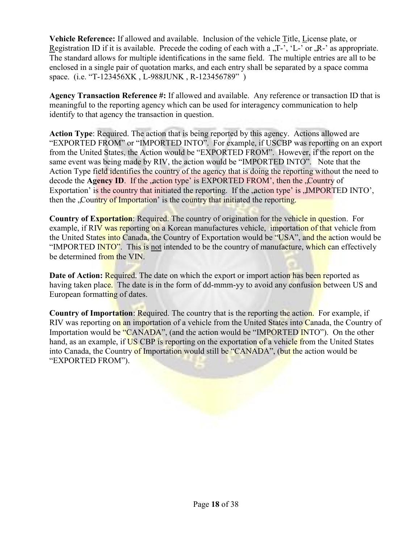**Vehicle Reference:** If allowed and available. Inclusion of the vehicle Title, License plate, or Registration ID if it is available. Precede the coding of each with a  $T$ -,  $'$ L-' or  $'R$ -' as appropriate. The standard allows for multiple identifications in the same field. The multiple entries are all to be enclosed in a single pair of quotation marks, and each entry shall be separated by a space comma space. (i.e. "T-123456XK , L-988JUNK , R-123456789" )

**Agency Transaction Reference #:** If allowed and available. Any reference or transaction ID that is meaningful to the reporting agency which can be used for interagency communication to help identify to that agency the transaction in question.

**Action Type**: Required. The action that is being reported by this agency. Actions allowed are "EXPORTED FROM" or "IMPORTED INTO". For example, if USCBP was reporting on an export from the United States, the Action would be "EXPORTED FROM". However, if the report on the same event was being made by RIV, the action would be "IMPORTED INTO". Note that the Action Type field identifies the country of the agency that is doing the reporting without the need to decode the **Agency ID**. If the , action type' is EXPORTED FROM', then the , Country of Exportation' is the country that initiated the reporting. If the  $\alpha$  action type' is  $\mu$ MPORTED INTO', then the "Country of Importation" is the country that initiated the reporting.

**Country of Exportation**: Required. The country of origination for the vehicle in question. For example, if RIV was reporting on a Korean manufactures vehicle, importation of that vehicle from the United States into Canada, the Country of Exportation would be "USA", and the action would be "IMPORTED INTO". This is not intended to be the country of manufacture, which can effectively be determined from the VIN.

**Date of Action:** Required. The date on which the export or import action has been reported as having taken place. The date is in the form of dd-mmm-yy to avoid any confusion between US and European formatting of dates.

**Country of Importation**: Required. The country that is the reporting the action. For example, if RIV was reporting on an importation of a vehicle from the United States into Canada, the Country of Importation would be "CANADA", (and the action would be "IMPORTED INTO"). On the other hand, as an example, if US CBP is reporting on the exportation of a vehicle from the United States into Canada, the Country of Importation would still be "CANADA", (but the action would be "EXPORTED FROM").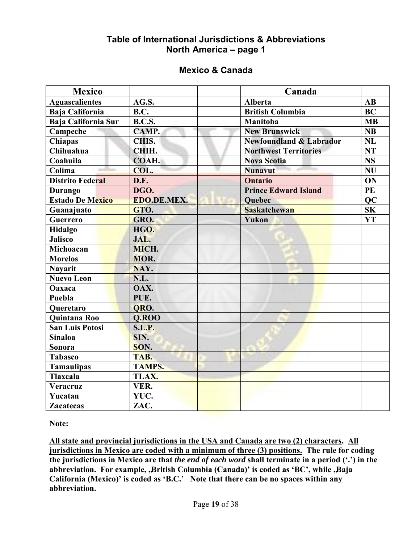#### **Table of International Jurisdictions & Abbreviations North America – page 1**

#### **Mexico & Canada**

| <b>Mexico</b>                |               | Canada                             |                        |
|------------------------------|---------------|------------------------------------|------------------------|
| <b>Aguascalientes</b>        | AG.S.         | <b>Alberta</b>                     | $\mathbf{A}\mathbf{B}$ |
| <b>Baja California</b>       | <b>B.C.</b>   | <b>British Columbia</b>            | <b>BC</b>              |
| <b>Baja California Sur</b>   | <b>B.C.S.</b> | Manitoba                           | <b>MB</b>              |
| Campeche                     | CAMP.         | <b>New Brunswick</b>               | NB                     |
| Chiapas                      | CHIS.         | <b>Newfoundland &amp; Labrador</b> | NL                     |
| Chihuahua                    | CHIH.         | <b>Northwest Territories</b>       | <b>NT</b>              |
| Coahuila                     | COAH.         | <b>Nova Scotia</b>                 | <b>NS</b>              |
| $\overline{\mathrm{Colima}}$ | COL.          | <b>Nunavut</b>                     | <b>NU</b>              |
| <b>Distrito Federal</b>      | D.F.          | <b>Ontario</b>                     | ON                     |
| Durango                      | DGO.          | <b>Prince Edward Island</b>        | PE                     |
| <b>Estado De Mexico</b>      | EDO.DE.MEX.   | <b>Quebec</b>                      | <b>QC</b>              |
| Guanajuato                   | GTO.          | <b>Saskatchewan</b>                | S <sub>K</sub>         |
| <b>Guerrero</b>              | GRO.          | Yukon                              | YT                     |
| <b>Hidalgo</b>               | HGO.          |                                    |                        |
| <b>Jalisco</b>               | JAL.          |                                    |                        |
| Michoacan                    | MICH.         |                                    |                        |
| <b>Morelos</b>               | MOR.          |                                    |                        |
| <b>Nayarit</b>               | NAY.          |                                    |                        |
| <b>Nuevo Leon</b>            | N.L.          |                                    |                        |
| Oaxaca                       | OAX.          |                                    |                        |
| Puebla                       | PUE.          |                                    |                        |
| <b>Queretaro</b>             | QRO.          |                                    |                        |
| <b>Quintana Roo</b>          | <b>Q.ROO</b>  |                                    |                        |
| <b>San Luis Potosi</b>       | <b>S.L.P.</b> |                                    |                        |
| <b>Sinaloa</b>               | SIN.          |                                    |                        |
| Sonora                       | SON.          |                                    |                        |
| <b>Tabasco</b>               | TAB.          |                                    |                        |
| <b>Tamaulipas</b>            | <b>TAMPS.</b> |                                    |                        |
| <b>Tlaxcala</b>              | TLAX.         |                                    |                        |
| Veracruz                     | VER.          |                                    |                        |
| Yucatan                      | YUC.          |                                    |                        |
| <b>Zacatecas</b>             | ZAC.          |                                    |                        |

**Note:** 

**All state and provincial jurisdictions in the USA and Canada are two (2) characters. All jurisdictions in Mexico are coded with a minimum of three (3) positions. The rule for coding the jurisdictions in Mexico are that** *the end of each word* **shall terminate in a period (".") in the**  abbreviation. For example, ,British Columbia (Canada)' is coded as 'BC', while ,Baja **California (Mexico)" is coded as "B.C." Note that there can be no spaces within any abbreviation.**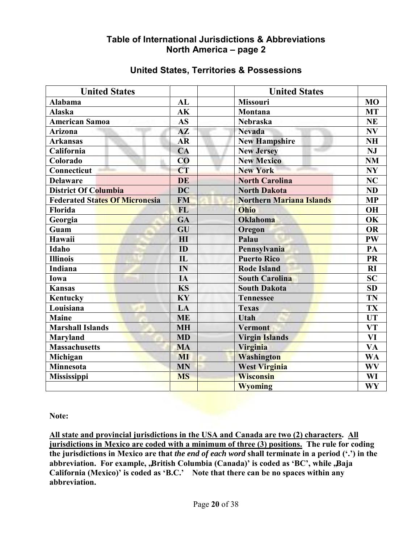#### **Table of International Jurisdictions & Abbreviations North America – page 2**

| <b>United States</b>                  |               | <b>United States</b>            |                          |
|---------------------------------------|---------------|---------------------------------|--------------------------|
| Alabama                               | AL            | <b>Missouri</b>                 | <b>MO</b>                |
| <b>Alaska</b>                         | AK            | Montana                         | <b>MT</b>                |
| <b>American Samoa</b>                 | <b>AS</b>     | Nebraska                        | <b>NE</b>                |
| <b>Arizona</b>                        | $A\mathbf{Z}$ | <b>Nevada</b>                   | N V                      |
| <b>Arkansas</b>                       | <b>AR</b>     | <b>New Hampshire</b>            | <b>NH</b>                |
| California                            | CA            | <b>New Jersey</b>               | <b>NJ</b>                |
| Colorado                              | CO            | <b>New Mexico</b>               | <b>NM</b>                |
| Connecticut                           | <b>CT</b>     | <b>New York</b>                 | $\bold{NY}$              |
| <b>Delaware</b>                       | <b>DE</b>     | <b>North Carolina</b>           | NC                       |
| <b>District Of Columbia</b>           | <b>DC</b>     | <b>North Dakota</b>             | ND                       |
| <b>Federated States Of Micronesia</b> | <b>FM</b>     | <b>Northern Mariana Islands</b> | <b>MP</b>                |
| <b>Florida</b>                        | <b>FL</b>     | Ohio                            | <b>OH</b>                |
| Georgia                               | GA            | <b>Oklahoma</b>                 | OK                       |
| Guam                                  | GU            | Oregon                          | <b>OR</b>                |
| Hawaii                                | HI            | Palau                           | PW                       |
| <b>Idaho</b>                          | ID            | Pennsylvania                    | PA                       |
| <b>Illinois</b>                       | $\mathbf{L}$  | <b>Puerto Rico</b>              | <b>PR</b>                |
| Indiana                               | IN            | <b>Rode Island</b>              | <b>RI</b>                |
| Iowa                                  | IA            | <b>South Carolina</b>           | <b>SC</b>                |
| <b>Kansas</b>                         | <b>KS</b>     | <b>South Dakota</b>             | SD                       |
| <b>Kentucky</b>                       | KY            | <b>Tennessee</b>                | <b>TN</b>                |
| Louisiana                             | LA            | <b>Texas</b>                    | <b>TX</b>                |
| <b>Maine</b>                          | <b>ME</b>     | <b>Utah</b>                     | <b>UT</b>                |
| <b>Marshall Islands</b>               | <b>MH</b>     | <b>Vermont</b>                  | <b>VT</b>                |
| <b>Maryland</b>                       | <b>MD</b>     | <b>Virgin Islands</b>           | $\overline{\mathbf{VI}}$ |
| <b>Massachusetts</b>                  | <b>MA</b>     | Virginia                        | <b>VA</b>                |
| Michigan                              | MI            | Washington                      | <b>WA</b>                |
| <b>Minnesota</b>                      | <b>MN</b>     | <b>West Virginia</b>            | <b>WV</b>                |
| <b>Mississippi</b>                    | <b>MS</b>     | <b>Wisconsin</b>                | WI                       |
|                                       |               | <b>Wyoming</b>                  | WY                       |

#### **United States, Territories & Possessions**

**Note:** 

**All state and provincial jurisdictions in the USA and Canada are two (2) characters. All jurisdictions in Mexico are coded with a minimum of three (3) positions. The rule for coding the jurisdictions in Mexico are that** *the end of each word* **shall terminate in a period (".") in the**  abbreviation. For example, "British Columbia (Canada)' is coded as 'BC', while "Baja **California (Mexico)" is coded as "B.C." Note that there can be no spaces within any abbreviation.**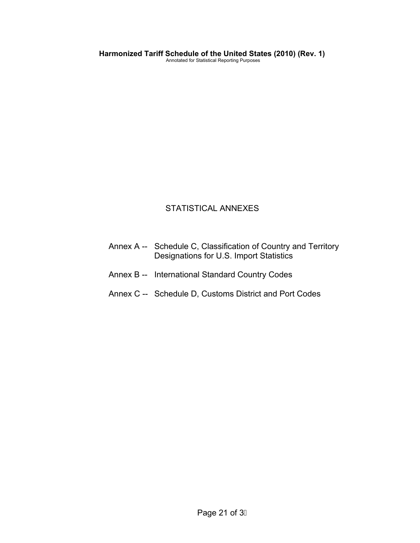#### STATISTICAL ANNEXES

- Annex A -- Schedule C, Classification of Country and Territory Designations for U.S. Import Statistics
- Annex B -- International Standard Country Codes
- Annex C -- Schedule D, Customs District and Port Codes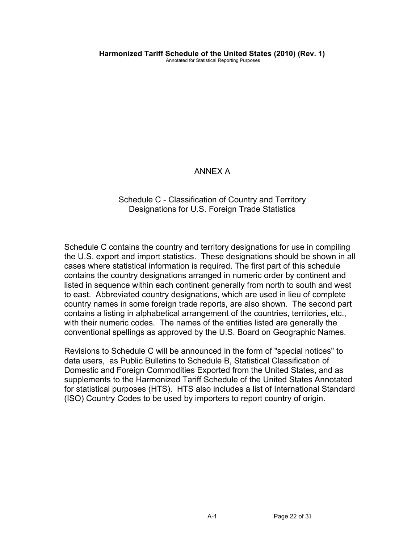#### ANNEX A

#### Schedule C - Classification of Country and Territory Designations for U.S. Foreign Trade Statistics

Schedule C contains the country and territory designations for use in compiling the U.S. export and import statistics. These designations should be shown in all cases where statistical information is required. The first part of this schedule contains the country designations arranged in numeric order by continent and listed in sequence within each continent generally from north to south and west to east. Abbreviated country designations, which are used in lieu of complete country names in some foreign trade reports, are also shown. The second part contains a listing in alphabetical arrangement of the countries, territories, etc., with their numeric codes. The names of the entities listed are generally the conventional spellings as approved by the U.S. Board on Geographic Names.

Revisions to Schedule C will be announced in the form of "special notices" to data users, as Public Bulletins to Schedule B, Statistical Classification of Domestic and Foreign Commodities Exported from the United States, and as supplements to the Harmonized Tariff Schedule of the United States Annotated for statistical purposes (HTS). HTS also includes a list of International Standard (ISO) Country Codes to be used by importers to report country of origin.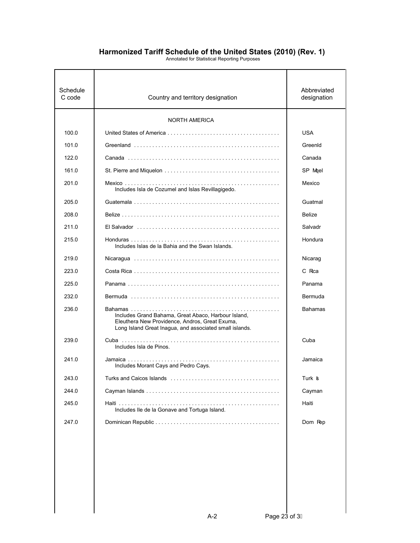| Schedule<br>C code | Country and territory designation                                                                                                                                | Abbreviated<br>designation |
|--------------------|------------------------------------------------------------------------------------------------------------------------------------------------------------------|----------------------------|
|                    | <b>NORTH AMERICA</b>                                                                                                                                             |                            |
| 100.0              |                                                                                                                                                                  | <b>USA</b>                 |
| 101.0              |                                                                                                                                                                  | GreenId                    |
| 122.0              |                                                                                                                                                                  | Canada                     |
| 161.0              |                                                                                                                                                                  | SP Mgel                    |
| 201.0              | Includes Isla de Cozumel and Islas Revillagigedo.                                                                                                                | Mexico                     |
| 205.0              |                                                                                                                                                                  | Guatmal                    |
| 208.0              |                                                                                                                                                                  | Belize                     |
| 211.0              |                                                                                                                                                                  | Salvadr                    |
| 215.0              | Includes Islas de la Bahia and the Swan Islands.                                                                                                                 | Hondura                    |
| 219.0              |                                                                                                                                                                  | Nicarag                    |
| 223.0              |                                                                                                                                                                  | C Rca                      |
| 225.0              |                                                                                                                                                                  | Panama                     |
| 232.0              |                                                                                                                                                                  | Bermuda                    |
| 236.0              | Includes Grand Bahama, Great Abaco, Harbour Island,<br>Eleuthera New Providence, Andros, Great Exuma,<br>Long Island Great Inagua, and associated small islands. | <b>Bahamas</b>             |
| 239.0              | Includes Isla de Pinos.                                                                                                                                          | Cuba                       |
| 241.0              | Includes Morant Cays and Pedro Cays.                                                                                                                             | Jamaica                    |
| 243.0              | Turks and Caicos Islands                                                                                                                                         | Turk <b>s</b>              |
| 244.0              |                                                                                                                                                                  | Cayman                     |
| 245.0              | Includes Ile de la Gonave and Tortuga Island.                                                                                                                    | Haiti                      |
| 247.0              |                                                                                                                                                                  | Dom Rep                    |
|                    |                                                                                                                                                                  |                            |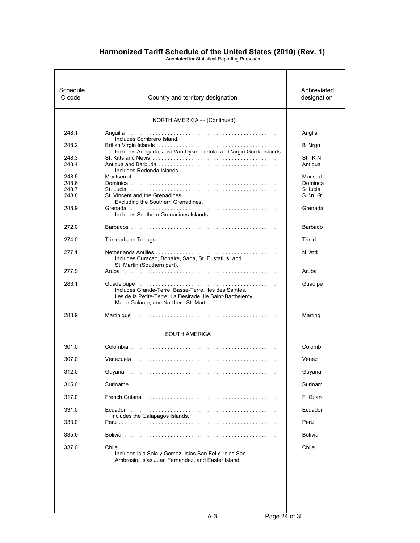| Schedule<br>C code | Country and territory designation                                                                                                                               | Abbreviated<br>designation |
|--------------------|-----------------------------------------------------------------------------------------------------------------------------------------------------------------|----------------------------|
|                    | NORTH AMERICA - - (Continued)                                                                                                                                   |                            |
| 248.1              |                                                                                                                                                                 | Anglla                     |
| 248.2              | Includes Sombrero Island.                                                                                                                                       | B Vrgn                     |
|                    | Includes Anegada, Jost Van Dyke, Tortola, and Virgin Gorda Islands.                                                                                             |                            |
| 248.3<br>248.4     |                                                                                                                                                                 | St. KN<br>Antigua          |
| 248.5              | Includes Redonda Islands.                                                                                                                                       | Monsrat                    |
| 248.6              |                                                                                                                                                                 | Dominca                    |
| 248.7              |                                                                                                                                                                 | S Lucia                    |
| 248.8              | Excluding the Southern Grenadines.                                                                                                                              | S Vh Gr                    |
| 248.9              | Includes Southern Grenadines Islands.                                                                                                                           | Grenada                    |
| 272.0              |                                                                                                                                                                 | Barbado                    |
| 274.0              |                                                                                                                                                                 | Trinid                     |
| 277.1              | Includes Curacao, Bonaire, Saba, St. Eustatius, and<br>St. Martin (Southern part).                                                                              | N Antil                    |
| 277.9              |                                                                                                                                                                 | Aruba                      |
| 283.1              | Includes Grande-Terre, Basse-Terre, Iles des Saintes,<br>Iles de la Petite-Terre, La Desirade, Ile Saint-Barthelemy,<br>Marie-Galante, and Northern St. Martin. | Guadlpe                    |
| 283.9              |                                                                                                                                                                 | Marting                    |
|                    | <b>SOUTH AMERICA</b>                                                                                                                                            |                            |
| 301.0              |                                                                                                                                                                 | Colomb                     |
| 307.0              |                                                                                                                                                                 | Venez                      |
| 312.0              |                                                                                                                                                                 | Guyana                     |
| 315.0              |                                                                                                                                                                 | Surinam                    |
| 317.0              |                                                                                                                                                                 | F Guian                    |
| 331.0              | Includes the Galapagos Islands.                                                                                                                                 | Ecuador                    |
| 333.0              |                                                                                                                                                                 | Peru                       |
| 335.0              |                                                                                                                                                                 | <b>Bolivia</b>             |
| 337.0              | Includes Isla Sala y Gomez, Islas San Felix, Islas San<br>Ambrosio, Islas Juan Fernandez, and Easter Island.                                                    | Chile                      |
|                    |                                                                                                                                                                 |                            |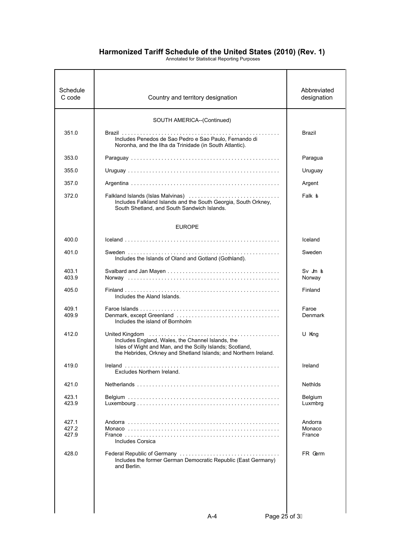| Schedule<br>C code      | Country and territory designation                                                                                                                                                  | Abbreviated<br>designation         |
|-------------------------|------------------------------------------------------------------------------------------------------------------------------------------------------------------------------------|------------------------------------|
|                         | SOUTH AMERICA--(Continued)                                                                                                                                                         |                                    |
| 351.0                   | Includes Penedos de Sao Pedro e Sao Paulo. Fernando di<br>Noronha, and the Ilha da Trinidade (in South Atlantic).                                                                  | Brazil                             |
| 353.0                   |                                                                                                                                                                                    | Paragua                            |
| 355.0                   |                                                                                                                                                                                    | Uruguay                            |
| 357.0                   |                                                                                                                                                                                    | Argent                             |
| 372.0                   | Falkland Islands (Islas Malvinas)<br>Includes Falkland Islands and the South Georgia, South Orkney,<br>South Shetland, and South Sandwich Islands.                                 | Falk <b>s</b>                      |
|                         | <b>EUROPE</b>                                                                                                                                                                      |                                    |
| 400.0                   |                                                                                                                                                                                    | Iceland                            |
| 401 0                   | Includes the Islands of Oland and Gotland (Gothland).                                                                                                                              | Sweden                             |
| 403.1<br>403.9          |                                                                                                                                                                                    | $Sv$ Jn $\boldsymbol{b}$<br>Norway |
| 405.0                   | Includes the Aland Islands.                                                                                                                                                        | Finland                            |
| 409.1<br>409.9          | Includes the island of Bornholm                                                                                                                                                    | Faroe<br>Denmark                   |
| 412.0                   | Includes England, Wales, the Channel Islands, the<br>Isles of Wight and Man, and the Scilly Islands; Scotland,<br>the Hebrides, Orkney and Shetland Islands; and Northern Ireland. | U King                             |
| 419.0                   | Excludes Northern Ireland.                                                                                                                                                         | Ireland                            |
| 421.0                   |                                                                                                                                                                                    | Nethids                            |
| 423.1<br>423.9          |                                                                                                                                                                                    | Belgium<br>Luxmbrg                 |
| 427.1<br>427.2<br>427.9 | Includes Corsica                                                                                                                                                                   | Andorra<br>Monaco<br>France        |
| 428.0                   | Federal Republic of Germany<br>Includes the former German Democratic Republic (East Germany)<br>and Berlin.                                                                        | FR Germ                            |
|                         |                                                                                                                                                                                    |                                    |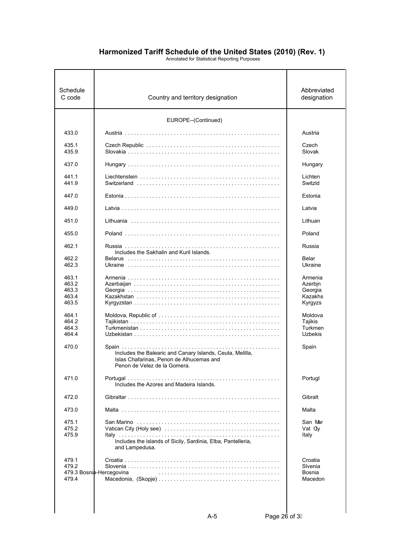| Schedule<br>C code                                          | Country and territory designation                                                                                                     | Abbreviated<br>designation                                     |
|-------------------------------------------------------------|---------------------------------------------------------------------------------------------------------------------------------------|----------------------------------------------------------------|
|                                                             | EUROPE--(Continued)                                                                                                                   |                                                                |
| 433.0                                                       |                                                                                                                                       | Austria                                                        |
| 435.1<br>435.9                                              |                                                                                                                                       | Czech<br>Slovak                                                |
| 437.0                                                       |                                                                                                                                       | Hungary                                                        |
| 441.1<br>441.9                                              |                                                                                                                                       | Lichten<br>Switzld                                             |
| 447.0                                                       |                                                                                                                                       | Estonia                                                        |
| 449.0                                                       |                                                                                                                                       | Latvia                                                         |
| 451.0                                                       |                                                                                                                                       | Lithuan                                                        |
| 455.0                                                       |                                                                                                                                       | Poland                                                         |
| 462.1                                                       | Includes the Sakhalin and Kuril Islands.                                                                                              | Russia                                                         |
| 462.2<br>462.3                                              |                                                                                                                                       | Belar<br>Ukraine                                               |
| 463.1<br>463.2<br>463.3<br>463.4<br>463.5<br>464.1<br>464.2 |                                                                                                                                       | Armenia<br>Azerbin<br>Georgia<br>Kazakhs<br>Kyrgyzs<br>Moldova |
| 464.3<br>464.4                                              |                                                                                                                                       | Tajikis<br>Turkmen<br><b>Uzbekis</b>                           |
| 470.0                                                       | Includes the Balearic and Canary Islands, Ceuta, Melilla,<br>Islas Chafarinas. Penon de Alhucemas and<br>Penon de Velez de la Gomera. | Spain                                                          |
| 471.0                                                       | Portugal<br>.<br>Includes the Azores and Madeira Islands.                                                                             | Portugl                                                        |
| 472.0                                                       |                                                                                                                                       | Gibralt                                                        |
| 473.0                                                       |                                                                                                                                       | Malta                                                          |
| 475.1<br>475.2<br>475.9                                     | Includes the islands of Sicily, Sardinia, Elba, Pantelleria,<br>and Lampedusa.                                                        | San Mar<br>Vat Cty<br>Italy                                    |
| 479.1<br>479.2<br>479.4                                     | 479.3 Bosnia-Hercegovina                                                                                                              | Croatia<br>Sivenia<br>Bosnia<br>Macedon                        |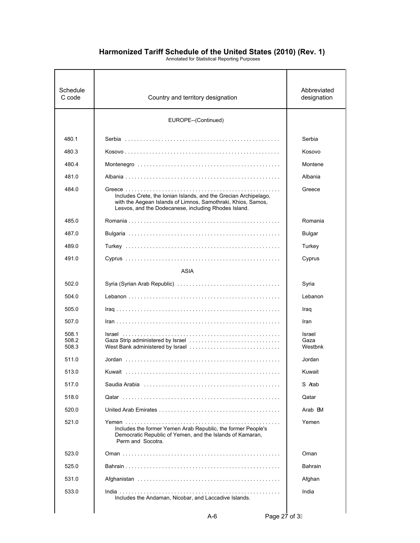| Schedule<br>C code      | Country and territory designation                                                                                                                                                        | Abbreviated<br>designation |
|-------------------------|------------------------------------------------------------------------------------------------------------------------------------------------------------------------------------------|----------------------------|
|                         | EUROPE--(Continued)                                                                                                                                                                      |                            |
| 480.1                   |                                                                                                                                                                                          | Serbia                     |
| 480.3                   |                                                                                                                                                                                          | Kosovo                     |
| 480.4                   |                                                                                                                                                                                          | Montene                    |
| 481.0                   |                                                                                                                                                                                          | Albania                    |
| 484.0                   | Includes Crete, the Ionian Islands, and the Grecian Archipelago,<br>with the Aegean Islands of Limnos, Samothraki, Khios, Samos,<br>Lesvos, and the Dodecanese, including Rhodes Island. | Greece                     |
| 485.0                   |                                                                                                                                                                                          | Romania                    |
| 487.0                   |                                                                                                                                                                                          | <b>Bulgar</b>              |
| 489.0                   |                                                                                                                                                                                          | Turkey                     |
| 491.0                   |                                                                                                                                                                                          | Cyprus                     |
|                         | ASIA                                                                                                                                                                                     |                            |
| 502.0                   |                                                                                                                                                                                          | Syria                      |
| 504.0                   |                                                                                                                                                                                          | Lebanon                    |
| 505.0                   |                                                                                                                                                                                          | Iraq                       |
| 507.0                   |                                                                                                                                                                                          | Iran                       |
| 508.1<br>508.2<br>508.3 |                                                                                                                                                                                          | Israel<br>Gaza<br>Westbnk  |
| 511.0                   |                                                                                                                                                                                          | Jordan                     |
| 513.0                   |                                                                                                                                                                                          | Kuwait                     |
| 517.0                   | Saudia Arabia (allergia allergia allergia allergia allergia allergia allergia all'essentito di Saudia Arabia a                                                                           | S Aab                      |
| 518.0                   |                                                                                                                                                                                          | Qatar                      |
| 520.0                   |                                                                                                                                                                                          | Arab EM                    |
| 521.0                   | Includes the former Yemen Arab Republic, the former People's<br>Democratic Republic of Yemen, and the Islands of Kamaran,<br>Perm and Socotra.                                           | Yemen                      |
| 523.0                   |                                                                                                                                                                                          | Oman                       |
| 525.0                   |                                                                                                                                                                                          | <b>Bahrain</b>             |
| 531.0                   |                                                                                                                                                                                          | Afghan                     |
| 533.0                   | Includes the Andaman, Nicobar, and Laccadive Islands.                                                                                                                                    | India                      |
|                         |                                                                                                                                                                                          |                            |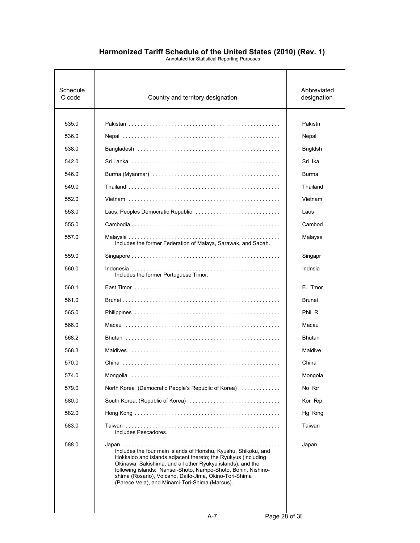| Schedule<br>C code | Country and territory designation                                                                                                                                                                                                                                                                                                                                          | Abbreviated<br>designation |
|--------------------|----------------------------------------------------------------------------------------------------------------------------------------------------------------------------------------------------------------------------------------------------------------------------------------------------------------------------------------------------------------------------|----------------------------|
| 535.0              |                                                                                                                                                                                                                                                                                                                                                                            | Pakistn                    |
| 536.0              |                                                                                                                                                                                                                                                                                                                                                                            | Nepal                      |
| 538.0              |                                                                                                                                                                                                                                                                                                                                                                            | <b>Bngldsh</b>             |
| 542.0              |                                                                                                                                                                                                                                                                                                                                                                            | Sri Ika                    |
| 546.0              |                                                                                                                                                                                                                                                                                                                                                                            | Burma                      |
| 549.0              |                                                                                                                                                                                                                                                                                                                                                                            | Thailand                   |
| 552.0              |                                                                                                                                                                                                                                                                                                                                                                            | Vietnam                    |
| 553.0              |                                                                                                                                                                                                                                                                                                                                                                            | Laos                       |
| 555.0              |                                                                                                                                                                                                                                                                                                                                                                            | Cambod                     |
| 557.0              | Includes the former Federation of Malaya, Sarawak, and Sabah.                                                                                                                                                                                                                                                                                                              | Malaysa                    |
| 559.0              |                                                                                                                                                                                                                                                                                                                                                                            | Singapr                    |
| 560.0              | Includes the former Portuguese Timor.                                                                                                                                                                                                                                                                                                                                      | Indnsia                    |
| 560.1              |                                                                                                                                                                                                                                                                                                                                                                            | E. Timor                   |
| 561.0              |                                                                                                                                                                                                                                                                                                                                                                            | <b>Brunei</b>              |
| 565.0              |                                                                                                                                                                                                                                                                                                                                                                            | Phil R                     |
| 566.0              |                                                                                                                                                                                                                                                                                                                                                                            | Macau                      |
| 568.2              |                                                                                                                                                                                                                                                                                                                                                                            | <b>Bhutan</b>              |
| 568.3              |                                                                                                                                                                                                                                                                                                                                                                            | Maldive                    |
| 570.0              |                                                                                                                                                                                                                                                                                                                                                                            | China                      |
| 574.0              |                                                                                                                                                                                                                                                                                                                                                                            | Mongola                    |
| 579.0              | North Korea (Democratic People's Republic of Korea)                                                                                                                                                                                                                                                                                                                        | No Kor                     |
| 580.0              |                                                                                                                                                                                                                                                                                                                                                                            | Kor Rep                    |
| 582.0              |                                                                                                                                                                                                                                                                                                                                                                            | Hg Kong                    |
| 583.0              | Includes Pescadores.                                                                                                                                                                                                                                                                                                                                                       | Taiwan                     |
| 588.0              | Includes the four main islands of Honshu, Kyushu, Shikoku, and<br>Hokkaido and islands adjacent thereto; the Ryukyus (including<br>Okinawa, Sakishima, and all other Ryukyu islands), and the<br>following islands: Nansei-Shoto, Nampo-Shoto, Bonin, Nishino-<br>shima (Rosario), Volcano, Daito-Jima, Okino-Tori-Shima<br>(Parece Vela), and Minami-Tori-Shima (Marcus). | Japan                      |
|                    |                                                                                                                                                                                                                                                                                                                                                                            |                            |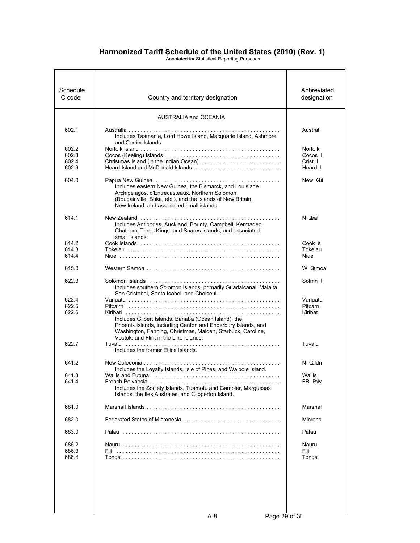| Schedule<br>C code |                                                                                                                                                                                                                               | Abbreviated        |
|--------------------|-------------------------------------------------------------------------------------------------------------------------------------------------------------------------------------------------------------------------------|--------------------|
|                    | Country and territory designation                                                                                                                                                                                             | designation        |
|                    | <b>AUSTRALIA and OCEANIA</b>                                                                                                                                                                                                  |                    |
| 602.1              | Includes Tasmania, Lord Howe Island, Macquarie Island, Ashmore<br>and Cartier Islands.                                                                                                                                        | Austral            |
| 602.2              |                                                                                                                                                                                                                               | <b>Norfolk</b>     |
| 602.3              |                                                                                                                                                                                                                               | Cocos I            |
| 602.4<br>602.9     | Christmas Island (in the Indian Ocean)                                                                                                                                                                                        | Crist I<br>Heard I |
| 604.0              | Includes eastern New Guinea, the Bismarck, and Louisiade<br>Archipelagos, d'Entrecasteaux, Northern Solomon<br>(Bougainville, Buka, etc.), and the islands of New Britain,<br>New Ireland, and associated small islands.      | New Gui            |
| 614.1              | Includes Antipodes, Auckland, Bounty, Campbell, Kermadec,<br>Chatham, Three Kings, and Snares Islands, and associated<br>small islands.                                                                                       | N Zeal             |
| 614.2              |                                                                                                                                                                                                                               | Cook s             |
| 614.3              |                                                                                                                                                                                                                               | Tokelau            |
| 614.4              |                                                                                                                                                                                                                               | Niue               |
| 615.0              |                                                                                                                                                                                                                               | W Samoa            |
| 622.3              | Includes southern Solomon Islands, primarily Guadalcanal, Malaita,<br>San Cristobal, Santa Isabel, and Choiseul.                                                                                                              | Solmn I            |
| 622.4              |                                                                                                                                                                                                                               | Vanuatu            |
| 622.5              |                                                                                                                                                                                                                               | Pitcarn            |
| 622.6              | Includes Gilbert Islands, Banaba (Ocean Island), the<br>Phoenix Islands, including Canton and Enderbury Islands, and<br>Washington, Fanning, Christmas, Malden, Starbuck, Caroline,<br>Vostok, and Flint in the Line Islands. | Kiribat            |
| 622.7              | Includes the former Ellice Islands.                                                                                                                                                                                           | Tuvalu             |
| 641.2              | Includes the Loyalty Islands, Isle of Pines, and Walpole Island.                                                                                                                                                              | N Caldn            |
| 641.3              |                                                                                                                                                                                                                               | Wallis             |
| 641.4              | Includes the Society Islands, Tuamotu and Gambier, Marguesas<br>Islands, the Iles Australes, and Clipperton Island.                                                                                                           | FR Roly            |
| 681.0              |                                                                                                                                                                                                                               | Marshal            |
| 682.0              |                                                                                                                                                                                                                               | <b>Microns</b>     |
| 683.0              |                                                                                                                                                                                                                               | Palau              |
| 686.2              |                                                                                                                                                                                                                               | Nauru              |
| 686.3              |                                                                                                                                                                                                                               | Fiji               |
| 686.4              |                                                                                                                                                                                                                               | Tonga              |
|                    |                                                                                                                                                                                                                               |                    |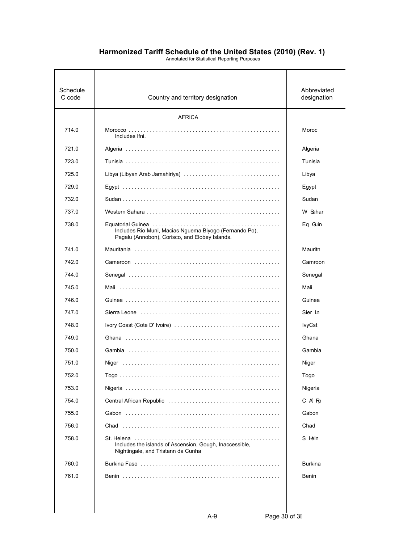| Schedule<br>C code | Country and territory designation                                                                               | Abbreviated<br>designation |
|--------------------|-----------------------------------------------------------------------------------------------------------------|----------------------------|
|                    | <b>AFRICA</b>                                                                                                   |                            |
| 714.0              | Includes Ifni.                                                                                                  | Moroc                      |
| 721.0              |                                                                                                                 | Algeria                    |
| 723.0              |                                                                                                                 | Tunisia                    |
| 725.0              |                                                                                                                 | Libya                      |
| 729.0              |                                                                                                                 | Egypt                      |
| 732.0              |                                                                                                                 | Sudan                      |
| 737.0              |                                                                                                                 | W Sahar                    |
| 738.0              | Includes Rio Muni, Macias Nguema Biyogo (Fernando Po),<br>Pagalu (Annobon), Corisco, and Elobey Islands.        | Eq Guin                    |
| 741.0              |                                                                                                                 | Mauritn                    |
| 742.0              |                                                                                                                 | Camroon                    |
| 744.0              |                                                                                                                 | Senegal                    |
| 745.0              |                                                                                                                 | Mali                       |
| 746.0              |                                                                                                                 | Guinea                     |
| 747.0              | Sierra Leone (and all and all and all and all and all and all and all and all and all and all and all and all a | Sier In                    |
| 748.0              |                                                                                                                 | <b>lvyCst</b>              |
| 749.0              |                                                                                                                 | Ghana                      |
| 750.0              |                                                                                                                 | Gambia                     |
| 751.0              |                                                                                                                 | Niger                      |
| 752.0              |                                                                                                                 | Togo                       |
| 753.0              |                                                                                                                 | Nigeria                    |
| 754.0              |                                                                                                                 | C Af Ro                    |
| 755.0              |                                                                                                                 | Gabon                      |
| 756.0              |                                                                                                                 | Chad                       |
| 758.0              | Includes the islands of Ascension, Gough, Inaccessible,<br>Nightingale, and Tristann da Cunha                   | S Heln                     |
| 760.0              |                                                                                                                 | <b>Burkina</b>             |
| 761.0              |                                                                                                                 | Benin                      |
|                    |                                                                                                                 |                            |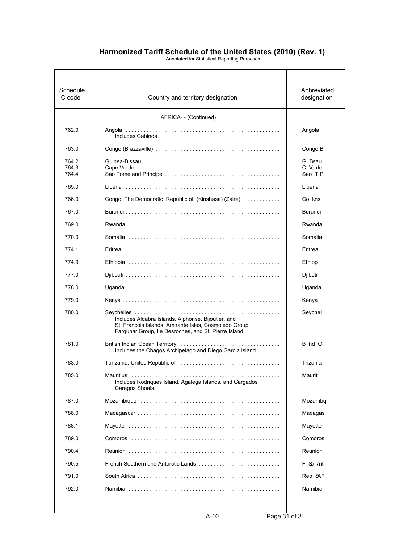| Schedule<br>C code      | Country and territory designation                                                                                                                                     | Abbreviated<br>designation  |
|-------------------------|-----------------------------------------------------------------------------------------------------------------------------------------------------------------------|-----------------------------|
|                         | AFRICA- - (Continued)                                                                                                                                                 |                             |
| 762.0                   | Includes Cabinda.                                                                                                                                                     | Angola                      |
| 763.0                   |                                                                                                                                                                       | Congo B                     |
| 764.2<br>764.3<br>764.4 |                                                                                                                                                                       | G Bsau<br>C Verde<br>Sao TP |
| 765.0                   |                                                                                                                                                                       | Liberia                     |
| 766.0                   | Congo, The Democratic Republic of (Kinshasa) (Zaire)                                                                                                                  | Co kins                     |
| 767.0                   |                                                                                                                                                                       | Burundi                     |
| 769.0                   |                                                                                                                                                                       | Rwanda                      |
| 770.0                   |                                                                                                                                                                       | Somalia                     |
| 774.1                   |                                                                                                                                                                       | Eritrea                     |
| 774.9                   |                                                                                                                                                                       | Ethiop                      |
| 777.0                   |                                                                                                                                                                       | Djibuti                     |
| 778.0                   |                                                                                                                                                                       | Uganda                      |
| 779.0                   |                                                                                                                                                                       | Kenya                       |
| 780.0                   | Includes Aldabra Islands, Alphonse, Bijoutier, and<br>St. Francois Islands, Amirante Isles, Cosmoledo Group,<br>Farquhar Group, Ile Desroches, and St. Pierre Island. | Seychel                     |
| 781.0                   | Includes the Chagos Archipelago and Diego Garcia Island.                                                                                                              | B hd O                      |
| 783.0                   |                                                                                                                                                                       | Tnzania                     |
| 785.0                   | Includes Rodriques Island, Agalega Islands, and Cargados<br>Caragos Shoals.                                                                                           | Maurit                      |
| 787.0                   |                                                                                                                                                                       | Mozambq                     |
| 788.0                   |                                                                                                                                                                       | Madagas                     |
| 788.1                   |                                                                                                                                                                       | Mayotte                     |
| 789.0                   |                                                                                                                                                                       | Comoros                     |
| 790.4                   |                                                                                                                                                                       | Reunion                     |
| 790.5                   | French Southern and Antarctic Lands                                                                                                                                   | F So Ant                    |
| 791.0                   |                                                                                                                                                                       | Rep SAF                     |
| 792.0                   |                                                                                                                                                                       | Namibia                     |
|                         |                                                                                                                                                                       |                             |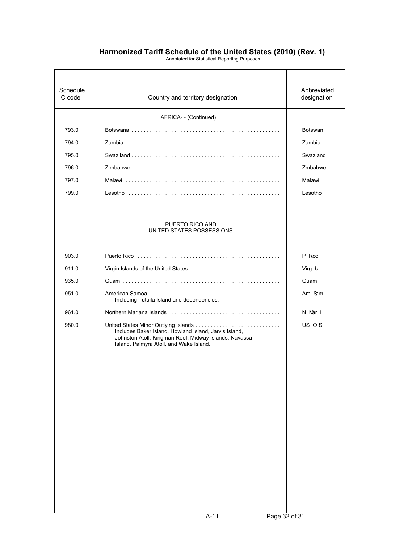| Schedule<br>C code | Country and territory designation                                                                                                                         | Abbreviated<br>designation |
|--------------------|-----------------------------------------------------------------------------------------------------------------------------------------------------------|----------------------------|
|                    | AFRICA- - (Continued)                                                                                                                                     |                            |
| 793.0              |                                                                                                                                                           | <b>Botswan</b>             |
| 794.0              |                                                                                                                                                           | Zambia                     |
| 795.0              |                                                                                                                                                           | Swazland                   |
| 796.0              |                                                                                                                                                           | Zmbabwe                    |
| 797.0              |                                                                                                                                                           | Malawi                     |
| 799.0              |                                                                                                                                                           | Lesotho                    |
|                    | PUERTO RICO AND<br>UNITED STATES POSSESSIONS                                                                                                              |                            |
| 903.0              |                                                                                                                                                           | P Rco                      |
| 911.0              |                                                                                                                                                           | Virg <b>s</b>              |
| 935.0              |                                                                                                                                                           | Guam                       |
| 951.0              | Including Tutuila Island and dependencies.                                                                                                                | Am Sam                     |
| 961.0              |                                                                                                                                                           | N Mar I                    |
| 980.0              | Includes Baker Island, Howland Island, Jarvis Island,<br>Johnston Atoll, Kingman Reef, Midway Islands, Navassa<br>Island, Palmyra Atoll, and Wake Island. | US OB                      |
|                    |                                                                                                                                                           |                            |
|                    | Page 32 of 31<br>$A-11$                                                                                                                                   |                            |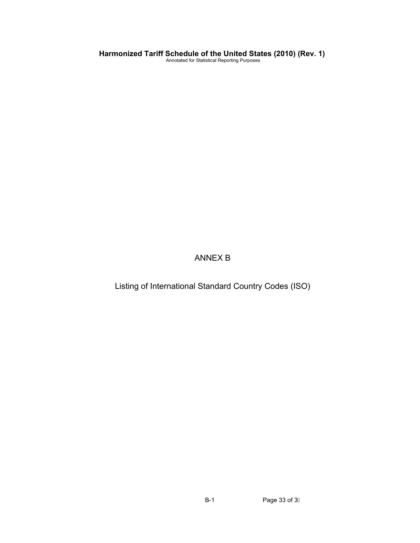ANNEX B

Listing of International Standard Country Codes (ISO)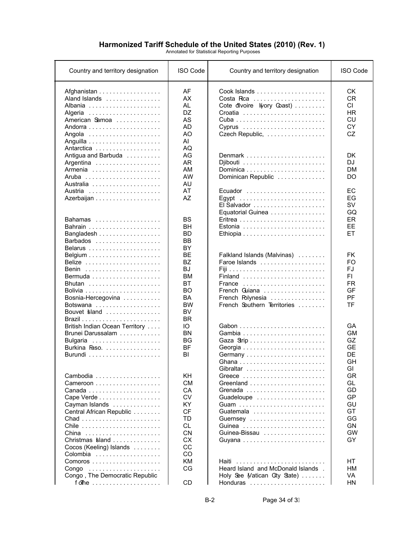| Country and territory designation                                                                               | <b>ISO Code</b>                                                                                                 | Country and territory designation                                                                                                     | <b>ISO Code</b>                                                        |
|-----------------------------------------------------------------------------------------------------------------|-----------------------------------------------------------------------------------------------------------------|---------------------------------------------------------------------------------------------------------------------------------------|------------------------------------------------------------------------|
| Afghanistan<br>Aland Islands<br>Albania<br>Algeria<br>American Samoa                                            | AF<br>AX<br>AL<br><b>DZ</b><br>AS<br><b>AD</b><br>AO<br>AI                                                      | Cote divoire I(vory Coast)<br>Croatia<br>Cyprus<br>Czech Republic,                                                                    | СK<br><b>CR</b><br>CI.<br><b>HR</b><br>CU<br>CY<br>CZ                  |
| Antigua and Barbuda<br>Argentina                                                                                | AQ<br>AG<br>AR<br>AM<br>AW<br>AU                                                                                | Denmark<br>Dominican Republic                                                                                                         | DK<br>DJ<br>DМ<br>DO                                                   |
| Austria<br>Bahamas<br>Bangladesh                                                                                | AT<br>AZ<br>BS<br><b>BH</b><br><b>BD</b><br><b>BB</b>                                                           | Ecuador<br>Equatorial Guinea<br>Estonia                                                                                               | ЕC<br>EG<br><b>SV</b><br>GQ<br><b>ER</b><br>EE<br>EТ                   |
| Belarus<br>Belize<br>Benin<br>Bermuda<br>Bhutan<br>Bosnia-Hercegovina<br>Botswana<br>Bouvet sland               | BY<br>BЕ<br>BZ<br><b>BJ</b><br>ВM<br><b>BT</b><br><b>BO</b><br><b>BA</b><br><b>BW</b><br><b>BV</b><br><b>BR</b> | Falkland Islands (Malvinas)<br>Faroe Islands<br>Finland<br>France<br>French Guiana<br>French Polynesia<br>French Southern Territories | <b>FK</b><br>FO<br>FJ<br>FI.<br><b>FR</b><br>GF<br>PF<br><b>TF</b>     |
| British Indian Ocean Territory<br>Brunei Darussalam<br>Burkina Faso.                                            | IО<br><b>BN</b><br><b>BG</b><br><b>BF</b><br>BI                                                                 | Germany                                                                                                                               | GA<br><b>GM</b><br>GZ<br><b>GE</b><br>DE<br>GH<br>GI                   |
| Cape Verde<br>Cayman Islands<br>Central African Republic<br>Chile<br>Christmas sland<br>Cocos (Keeling) Islands | KH.<br><b>CM</b><br>CA<br>CV<br>KY<br>CF<br><b>TD</b><br>CL<br><b>CN</b><br>CX<br>CC                            | Grenada<br>Guadeloupe<br>Guernsey<br>Guinea-Bissau                                                                                    | GR<br>GL<br>GD<br>GP<br>GU<br>GT<br>GG<br><b>GN</b><br><b>GW</b><br>GY |
| Colombia<br>Congo, The Democratic Republic<br>$f$ oThe $\ldots \ldots \ldots \ldots \ldots \ldots$              | CO<br>KM<br>CG<br>CD                                                                                            | Haiti<br>Heard Island and McDonald Islands.<br>Holy See Matican City State)<br>Honduras                                               | HТ<br>HМ<br>VA<br><b>HN</b>                                            |

B-2 Page 34 of 3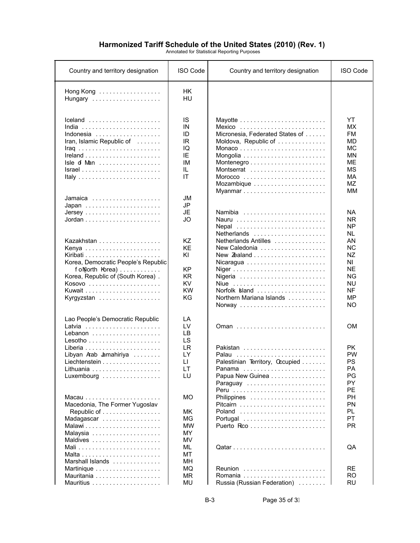| Country and territory designation                                                                                                                       | <b>ISO Code</b>                                                          | Country and territory designation                                                                                                     | <b>ISO Code</b>                                                                                                       |
|---------------------------------------------------------------------------------------------------------------------------------------------------------|--------------------------------------------------------------------------|---------------------------------------------------------------------------------------------------------------------------------------|-----------------------------------------------------------------------------------------------------------------------|
| Hong Kong<br>Hungary                                                                                                                                    | <b>HK</b><br>HU                                                          |                                                                                                                                       |                                                                                                                       |
| Iceland<br>Indonesia $\ldots \ldots \ldots \ldots \ldots$<br>Iran, Islamic Republic of $\dots\dots$<br>Isle of Man<br>$Israel  \ldots  \ldots  \ldots $ | IS<br>IN<br>ID<br>IR<br>IQ<br>IE.<br>IM<br>IL<br>ΙT                      | Micronesia, Federated States of<br>Moldova, Republic of<br>Montserrat<br>Mozambique<br>Myanmar                                        | YT<br>MX.<br><b>FM</b><br>MD<br><b>MC</b><br>ΜN<br><b>ME</b><br><b>MS</b><br><b>MA</b><br><b>MZ</b><br>MМ             |
| Jamaica<br>Japan                                                                                                                                        | JM<br>JP<br><b>JE</b><br>JO                                              | Namibia<br>Nauru<br>Nepal                                                                                                             | NA.<br>NR.<br>NP                                                                                                      |
| Kazakhstan<br>Korea, Democratic People's Republic<br>f on North Korea)<br>Korea, Republic of (South Korea).<br>Kosovo<br>Kyrgyzstan                     | ΚZ<br><b>KE</b><br>ΚI<br><b>KP</b><br><b>KR</b><br>KV<br><b>KW</b><br>KG | Netherlands<br>Netherlands Antilles<br>New Caledonia<br>New Zealand<br>Nigeria<br>Norfolk sland<br>Northern Mariana Islands<br>Norway | NL.<br>AN<br><b>NC</b><br><b>NZ</b><br>N <sub>l</sub><br><b>NE</b><br><b>NG</b><br><b>NU</b><br>NF<br>MP<br><b>NO</b> |
| Lao People's Democratic Republic<br>Lebanon                                                                                                             | LA<br>LV<br><b>LB</b>                                                    |                                                                                                                                       | <b>OM</b>                                                                                                             |
| Lesotho<br>Libyan Aab Jamahiriya<br>Liechtenstein<br>I ithuania<br>Luxembourg                                                                           | <b>LS</b><br><b>LR</b><br>LY<br>$\mathsf{L}$<br>LT.<br>LU                | Pakistan<br>Palau<br>Palestinian Territory, Occupied<br>Panama<br>Papua New Guinea                                                    | <b>PK</b><br><b>PW</b><br><b>PS</b><br>PA<br>PG<br><b>PY</b>                                                          |
| Macedonia, The Former Yugoslav<br>Republic of<br>Madagascar<br>Malawi                                                                                   | МO<br>MK.<br><b>MG</b><br><b>MW</b><br>MY                                | Peru<br>Pitcairn<br>Poland<br>Portugal                                                                                                | PE<br><b>PH</b><br><b>PN</b><br>PL<br>PT<br><b>PR</b>                                                                 |
| Maldives                                                                                                                                                | MV<br>ML<br>MT                                                           |                                                                                                                                       | QA                                                                                                                    |
| Marshall Islands                                                                                                                                        | MH<br>MQ<br><b>MR</b><br>MU                                              | Reunion<br>Romania<br>Russia (Russian Federation)                                                                                     | <b>RE</b><br>RO.<br><b>RU</b>                                                                                         |

B-3 Page 35 of 3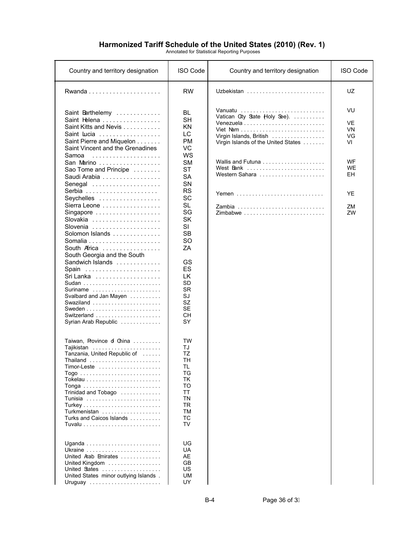| Country and territory designation                                                                                                                       | <b>ISO Code</b>                                                                                               | Country and territory designation                                                               | <b>ISO Code</b>            |
|---------------------------------------------------------------------------------------------------------------------------------------------------------|---------------------------------------------------------------------------------------------------------------|-------------------------------------------------------------------------------------------------|----------------------------|
|                                                                                                                                                         | <b>RW</b>                                                                                                     | Uzbekistan                                                                                      | UZ                         |
| Saint Barthelemy<br>Saint Helena<br>Saint Kitts and Nevis<br>Saint Lucia<br>Saint Pierre and Miquelon<br>Saint Vincent and the Grenadines<br>Samoa      | BL<br><b>SH</b><br><b>KN</b><br>LC.<br><b>PM</b><br>VC<br>WS                                                  | Vatican City State Holy See).<br>Virgin Islands, British<br>Virgin Islands of the United States | VU<br>VE<br>VN<br>VG<br>VI |
| San Marino<br>Sao Tome and Principe<br>Saudi Arabia<br>Senegal                                                                                          | <b>SM</b><br><b>ST</b><br><b>SA</b><br>SN                                                                     | West Bank<br>Western Sahara                                                                     | WF<br><b>WE</b><br>EН      |
| Serbia                                                                                                                                                  | <b>RS</b><br>SC                                                                                               |                                                                                                 | YE.                        |
| Seychelles<br>Sierra Leone<br>Singapore<br>Slovenia<br>Solomon Islands<br>South Africa                                                                  | SL<br>SG<br><b>SK</b><br><b>SI</b><br><b>SB</b><br><b>SO</b><br>ZA                                            |                                                                                                 | ZM<br>ZW                   |
| South Georgia and the South<br>Sandwich Islands<br>Spain<br>Suriname<br>Svalbard and Jan Mayen<br>Swaziland<br>Switzerland<br>Syrian Arab Republic      | GS<br>ES<br>LK.<br><b>SD</b><br><b>SR</b><br>SJ<br>SZ<br><b>SE</b><br>CН<br>SY                                |                                                                                                 |                            |
| Taiwan, Province of China<br>Tanzania, United Republic of<br>Thailand<br>Timor-Leste<br>Trinidad and Tobago<br>Turkmenistan<br>Turks and Caicos Islands | <b>TW</b><br>TJ<br>TZ<br>TН<br>TL<br>TG<br>ΤK<br><b>TO</b><br>TΤ<br><b>TN</b><br>TR.<br>ТM<br><b>TC</b><br>TV |                                                                                                 |                            |
| United Arab Emirates<br>United Kingdom<br>United States<br>United States minor outlying Islands.<br>Uruguay                                             | UG<br>UA<br>AE<br><b>GB</b><br><b>US</b><br>UM<br>UY                                                          |                                                                                                 |                            |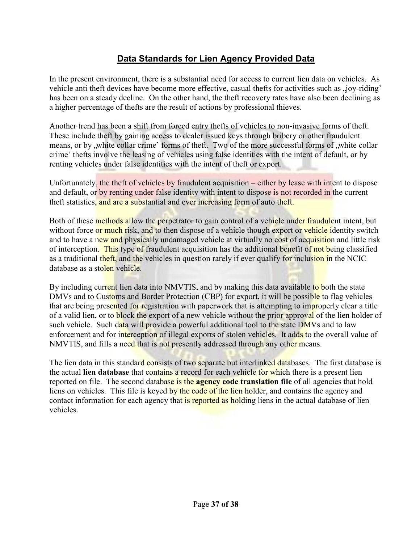## **Data Standards for Lien Agency Provided Data**

In the present environment, there is a substantial need for access to current lien data on vehicles. As vehicle anti theft devices have become more effective, casual thefts for activities such as , joy-riding' has been on a steady decline. On the other hand, the theft recovery rates have also been declining as a higher percentage of thefts are the result of actions by professional thieves.

Another trend has been a shift from forced entry thefts of vehicles to non-invasive forms of theft. These include theft by gaining access to dealer issued keys through bribery or other fraudulent means, or by "white collar crime" forms of theft. Two of the more successful forms of "white collar crime" thefts involve the leasing of vehicles using false identities with the intent of default, or by renting vehicles under false identities with the intent of theft or export.

Unfortunately, the theft of vehicles by fraudulent acquisition – either by lease with intent to dispose and default, or by renting under false identity with intent to dispose is not recorded in the current theft statistics, and are a substantial and ever increasing form of auto theft.

Both of these methods allow the perpetrator to gain control of a vehicle under fraudulent intent, but without force or much risk, and to then dispose of a vehicle though export or vehicle identity switch and to have a new and physically undamaged vehicle at virtually no cost of acquisition and little risk of interception. This type of fraudulent acquisition has the additional benefit of not being classified as a traditional theft, and the vehicles in question rarely if ever qualify for inclusion in the NCIC database as a stolen vehicle.

By including current lien data into NMVTIS, and by making this data available to both the state DMVs and to Customs and Border Protection (CBP) for export, it will be possible to flag vehicles that are being presented for registration with paperwork that is attempting to improperly clear a title of a valid lien, or to **block** the export of a new vehicle without the prior approval of the lien holder of such vehicle. Such data will provide a powerful additional tool to the state DMVs and to law enforcement and for interception of illegal exports of stolen vehicles. It adds to the overall value of NMVTIS, and fills a need that is not presently addressed through any other means.

The lien data in this standard consists of two separate but interlinked databases. The first database is the actual **lien database** that contains a record for each vehicle for which there is a present lien reported on file. The second database is the **agency code translation file** of all agencies that hold liens on vehicles. This file is keyed by the code of the lien holder, and contains the agency and contact information for each agency that is reported as holding liens in the actual database of lien vehicles.